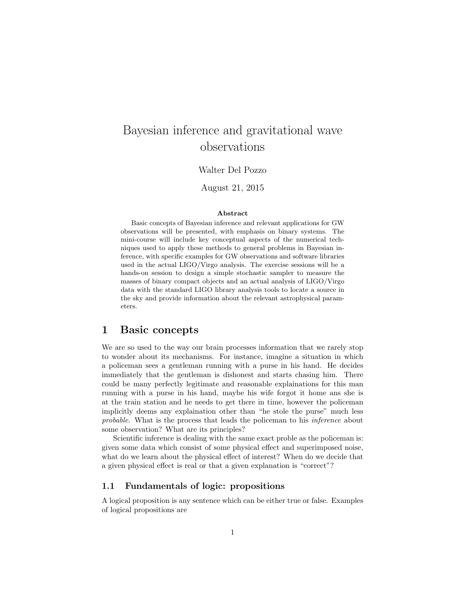# Bayesian inference and gravitational wave observations

Walter Del Pozzo

August 21, 2015

#### Abstract

Basic concepts of Bayesian inference and relevant applications for GW observations will be presented, with emphasis on binary systems. The mini-course will include key conceptual aspects of the numerical techniques used to apply these methods to general problems in Bayesian inference, with specific examples for GW observations and software libraries used in the actual LIGO/Virgo analysis. The exercise sessions will be a hands-on session to design a simple stochastic sampler to measure the masses of binary compact objects and an actual analysis of LIGO/Virgo data with the standard LIGO library analysis tools to locate a source in the sky and provide information about the relevant astrophysical parameters.

### 1 Basic concepts

We are so used to the way our brain processes information that we rarely stop to wonder about its mechanisms. For instance, imagine a situation in which a policeman sees a gentleman running with a purse in his hand. He decides immediately that the gentleman is dishonest and starts chasing him. There could be many perfectly legitimate and reasonable explainations for this man running with a purse in his hand, maybe his wife forgot it home ans she is at the train station and he needs to get there in time, however the policeman implicitly deems any explaination other than "he stole the purse" much less probable. What is the process that leads the policeman to his inference about some observation? What are its principles?

Scientific inference is dealing with the same exact proble as the policeman is: given some data which consist of some physical effect and superimposed noise, what do we learn about the physical effect of interest? When do we decide that a given physical effect is real or that a given explanation is "correct"?

#### 1.1 Fundamentals of logic: propositions

A logical proposition is any sentence which can be either true or false. Examples of logical propositions are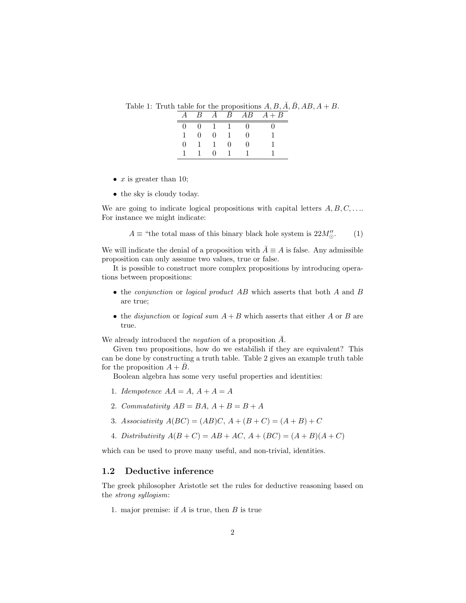Table 1: Truth table for the propositions  $A, B, \overline{A}, \overline{B}, AB, A + B$ .

| $\vert B \vert$ |   | $\mathcal{B}$ | $\overline{AB}$ | $A + B$ |
|-----------------|---|---------------|-----------------|---------|
|                 |   |               |                 |         |
|                 | 0 |               |                 |         |
|                 |   |               |                 |         |
|                 |   |               |                 |         |

- $x$  is greater than 10;
- the sky is cloudy today.

We are going to indicate logical propositions with capital letters  $A, B, C, \ldots$ For instance we might indicate:

$$
A \equiv
$$
 "the total mass of this binary black hole system is 22 $M''_{\odot}$ . (1)

We will indicate the denial of a proposition with  $\overline{A} \equiv A$  is false. Any admissible proposition can only assume two values, true or false.

It is possible to construct more complex propositions by introducing operations between propositions:

- the *conjunction* or *logical product AB* which asserts that both A and B are true;
- the disjunction or logical sum  $A + B$  which asserts that either A or B are true.

We already introduced the *negation* of a proposition  $\overline{A}$ .

Given two propositions, how do we estabilish if they are equivalent? This can be done by constructing a truth table. Table 2 gives an example truth table for the proposition  $A + B$ .

Boolean algebra has some very useful properties and identities:

- 1. Idempotence  $AA = A$ ,  $A + A = A$
- 2. Commutativity  $AB = BA$ ,  $A + B = B + A$
- 3. Associativity  $A(BC) = (AB)C, A + (B + C) = (A + B) + C$
- 4. Distributivity  $A(B+C) = AB + AC$ ,  $A+(BC) = (A+B)(A+C)$

which can be used to prove many useful, and non-trivial, identities.

#### 1.2 Deductive inference

The greek philosopher Aristotle set the rules for deductive reasoning based on the strong syllogism:

1. major premise: if  $A$  is true, then  $B$  is true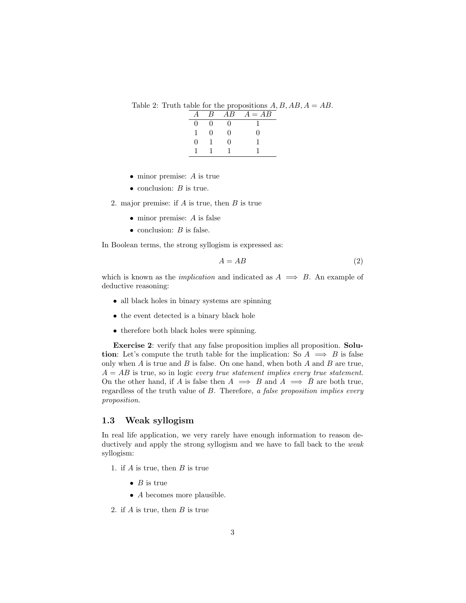Table 2: Truth table for the propositions  $A, B, AB, A = AB$ .

|   | B | $AB^-$ | $A = AB$ |
|---|---|--------|----------|
| 0 | O | 0      |          |
|   | 0 | 0      | 0        |
| O |   | U      |          |
|   |   |        |          |

- minor premise: A is true
- conclusion:  $B$  is true.

2. major premise: if  $A$  is true, then  $B$  is true

- minor premise: A is false
- conclusion:  $B$  is false.

In Boolean terms, the strong syllogism is expressed as:

$$
A = AB \tag{2}
$$

which is known as the *implication* and indicated as  $A \implies B$ . An example of deductive reasoning:

- all black holes in binary systems are spinning
- the event detected is a binary black hole
- therefore both black holes were spinning.

Exercise 2: verify that any false proposition implies all proposition. Solution: Let's compute the truth table for the implication: So  $A \implies B$  is false only when  $A$  is true and  $B$  is false. On one hand, when both  $A$  and  $B$  are true,  $A = AB$  is true, so in logic every true statement implies every true statement. On the other hand, if A is false then  $A \implies B$  and  $A \implies B$  are both true, regardless of the truth value of B. Therefore, a false proposition implies every proposition.

#### 1.3 Weak syllogism

In real life application, we very rarely have enough information to reason deductively and apply the strong syllogism and we have to fall back to the *weak* syllogism:

- 1. if  $A$  is true, then  $B$  is true
	- $B$  is true
	- A becomes more plausible.
- 2. if  $A$  is true, then  $B$  is true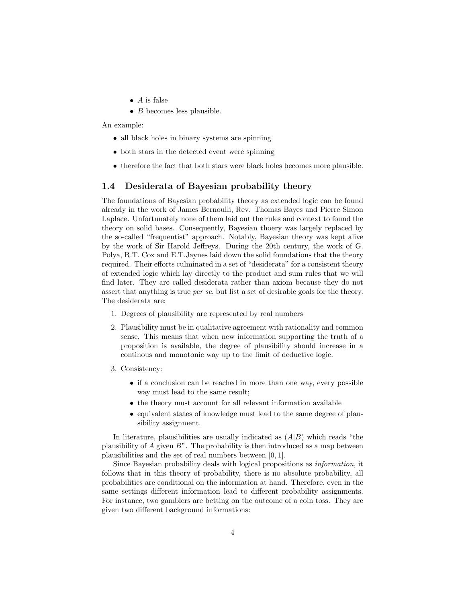- $\bullet$  A is false
- $\bullet$  *B* becomes less plausible.

An example:

- all black holes in binary systems are spinning
- both stars in the detected event were spinning
- therefore the fact that both stars were black holes becomes more plausible.

#### 1.4 Desiderata of Bayesian probability theory

The foundations of Bayesian probability theory as extended logic can be found already in the work of James Bernoulli, Rev. Thomas Bayes and Pierre Simon Laplace. Unfortunately none of them laid out the rules and context to found the theory on solid bases. Consequently, Bayesian thoery was largely replaced by the so-called "frequentist" approach. Notably, Bayesian theory was kept alive by the work of Sir Harold Jeffreys. During the 20th century, the work of G. Polya, R.T. Cox and E.T.Jaynes laid down the solid foundations that the theory required. Their efforts culminated in a set of "desiderata" for a consistent theory of extended logic which lay directly to the product and sum rules that we will find later. They are called desiderata rather than axiom because they do not assert that anything is true per se, but list a set of desirable goals for the theory. The desiderata are:

- 1. Degrees of plausibility are represented by real numbers
- 2. Plausibility must be in qualitative agreement with rationality and common sense. This means that when new information supporting the truth of a proposition is available, the degree of plausibility should increase in a continous and monotonic way up to the limit of deductive logic.
- 3. Consistency:
	- if a conclusion can be reached in more than one way, every possible way must lead to the same result;
	- the theory must account for all relevant information available
	- equivalent states of knowledge must lead to the same degree of plausibility assignment.

In literature, plausibilities are usually indicated as  $(A|B)$  which reads "the plausibility of  $A$  given  $B$ ". The probability is then introduced as a map between plausibilities and the set of real numbers between [0, 1].

Since Bayesian probability deals with logical propositions as information, it follows that in this theory of probability, there is no absolute probability, all probabilities are conditional on the information at hand. Therefore, even in the same settings different information lead to different probability assignments. For instance, two gamblers are betting on the outcome of a coin toss. They are given two different background informations: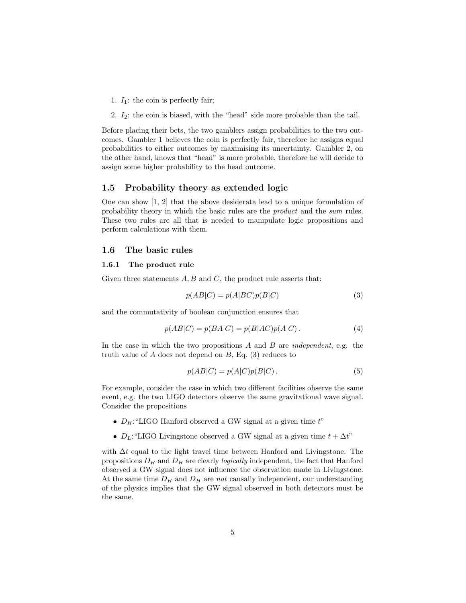1.  $I_1$ : the coin is perfectly fair;

2.  $I_2$ : the coin is biased, with the "head" side more probable than the tail.

Before placing their bets, the two gamblers assign probabilities to the two outcomes. Gambler 1 believes the coin is perfectly fair, therefore he assigns equal probabilities to either outcomes by maximising its uncertainty. Gambler 2, on the other hand, knows that "head" is more probable, therefore he will decide to assign some higher probability to the head outcome.

#### 1.5 Probability theory as extended logic

One can show [1, 2] that the above desiderata lead to a unique formulation of probability theory in which the basic rules are the product and the sum rules. These two rules are all that is needed to manipulate logic propositions and perform calculations with them.

#### 1.6 The basic rules

#### 1.6.1 The product rule

Given three statements  $A, B$  and  $C$ , the product rule asserts that:

$$
p(AB|C) = p(A|BC)p(B|C)
$$
\n(3)

and the commutativity of boolean conjunction ensures that

$$
p(AB|C) = p(BA|C) = p(B|AC)p(A|C).
$$
\n<sup>(4)</sup>

In the case in which the two propositions  $A$  and  $B$  are *independent*, e.g. the truth value of  $A$  does not depend on  $B$ , Eq. (3) reduces to

$$
p(AB|C) = p(A|C)p(B|C).
$$
\n(5)

For example, consider the case in which two different facilities observe the same event, e.g. the two LIGO detectors observe the same gravitational wave signal. Consider the propositions

- $D_H$ : "LIGO Hanford observed a GW signal at a given time  $t$ "
- $D_L$ : "LIGO Livingstone observed a GW signal at a given time  $t + \Delta t$ "

with  $\Delta t$  equal to the light travel time between Hanford and Livingstone. The propositions  $D_H$  and  $D_H$  are clearly *logically* independent, the fact that Hanford observed a GW signal does not influence the observation made in Livingstone. At the same time  $D_H$  and  $D_H$  are not causally independent, our understanding of the physics implies that the GW signal observed in both detectors must be the same.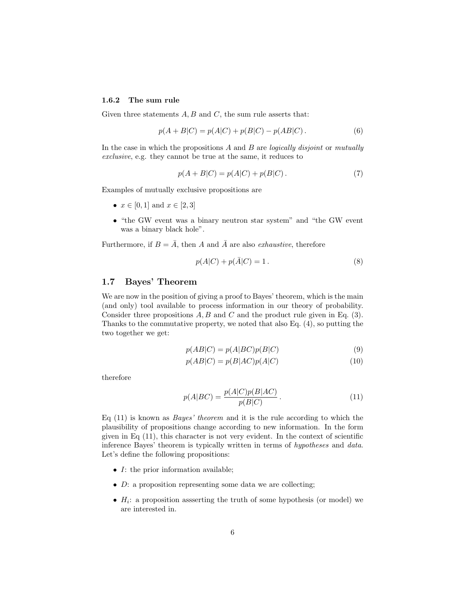#### 1.6.2 The sum rule

Given three statements  $A, B$  and  $C$ , the sum rule asserts that:

$$
p(A + B|C) = p(A|C) + p(B|C) - p(AB|C).
$$
 (6)

In the case in which the propositions  $A$  and  $B$  are *logically disjoint* or *mutually* exclusive, e.g. they cannot be true at the same, it reduces to

$$
p(A + B|C) = p(A|C) + p(B|C).
$$
 (7)

Examples of mutually exclusive propositions are

- $x \in [0,1]$  and  $x \in [2,3]$
- "the GW event was a binary neutron star system" and "the GW event was a binary black hole".

Furthermore, if  $B = \overline{A}$ , then A and  $\overline{A}$  are also *exhaustive*, therefore

$$
p(A|C) + p(\bar{A}|C) = 1.
$$
 (8)

### 1.7 Bayes' Theorem

We are now in the position of giving a proof to Bayes' theorem, which is the main (and only) tool available to process information in our theory of probability. Consider three propositions  $A, B$  and  $C$  and the product rule given in Eq. (3). Thanks to the commutative property, we noted that also Eq. (4), so putting the two together we get:

$$
p(AB|C) = p(A|BC)p(B|C)
$$
\n(9)

$$
p(AB|C) = p(B|AC)p(A|C)
$$
\n<sup>(10)</sup>

therefore

$$
p(A|BC) = \frac{p(A|C)p(B|AC)}{p(B|C)}.
$$
\n<sup>(11)</sup>

Eq  $(11)$  is known as *Bayes' theorem* and it is the rule according to which the plausibility of propositions change according to new information. In the form given in Eq  $(11)$ , this character is not very evident. In the context of scientific inference Bayes' theorem is typically written in terms of hypotheses and data. Let's define the following propositions:

- I: the prior information available;
- $\bullet$  *D*: a proposition representing some data we are collecting;
- $H_i$ : a proposition assserting the truth of some hypothesis (or model) we are interested in.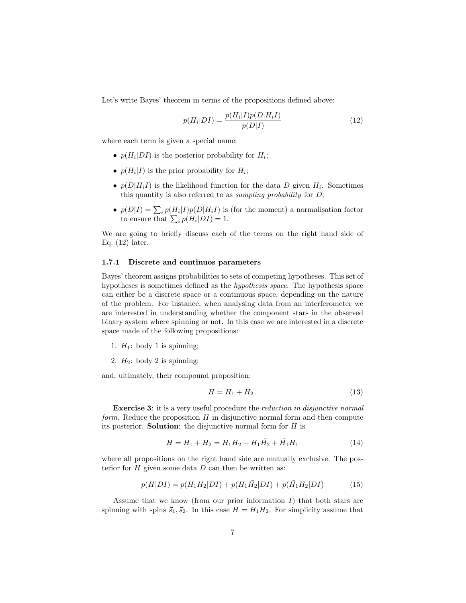Let's write Bayes' theorem in terms of the propositions defined above:

$$
p(H_i|DI) = \frac{p(H_i|I)p(D|H_iI)}{p(D|I)}\tag{12}
$$

where each term is given a special name:

- $p(H_i|DI)$  is the posterior probability for  $H_i$ ;
- $p(H_i|I)$  is the prior probability for  $H_i$ ;
- $p(D|H_iI)$  is the likelihood function for the data D given  $H_i$ . Sometimes this quantity is also referred to as *sampling probability* for  $D$ ;
- $p(D|I) = \sum_i p(H_i|I)p(D|H_iI)$  is (for the moment) a normalisation factor to ensure that  $\sum_i p(H_i|DI) = 1$ .

We are going to briefly discuss each of the terms on the right hand side of Eq. (12) later.

#### 1.7.1 Discrete and continuos parameters

Bayes' theorem assigns probabilities to sets of competing hypotheses. This set of hypotheses is sometimes defined as the hypothesis space. The hypothesis space can either be a discrete space or a continuous space, depending on the nature of the problem. For instance, when analysing data from an interferometer we are interested in understanding whether the component stars in the observed binary system where spinning or not. In this case we are interested in a discrete space made of the following propositions:

- 1.  $H_1$ : body 1 is spinning;
- 2.  $H_2$ : body 2 is spinning;

and, ultimately, their compound proposition:

$$
H = H_1 + H_2. \tag{13}
$$

Exercise 3: it is a very useful procedure the reduction in disjunctive normal form. Reduce the proposition  $H$  in disjunctive normal form and then compute its posterior. **Solution**: the disjunctive normal form for  $H$  is

$$
H = H_1 + H_2 = H_1 H_2 + H_1 \overline{H}_2 + \overline{H}_1 H_1 \tag{14}
$$

where all propositions on the right hand side are mutually exclusive. The posterior for  $H$  given some data  $D$  can then be written as:

$$
p(H|DI) = p(H_1H_2|DI) + p(H_1H_2|DI) + p(\bar{H}_1H_2|DI)
$$
\n(15)

Assume that we know (from our prior information  $I$ ) that both stars are spinning with spins  $\vec{s}_1, \vec{s}_2$ . In this case  $H = H_1 H_2$ . For simplicity assume that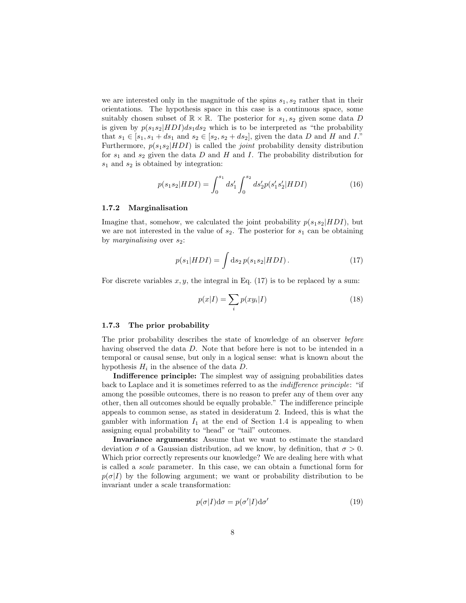we are interested only in the magnitude of the spins  $s_1, s_2$  rather that in their orientations. The hypothesis space in this case is a continuous space, some suitably chosen subset of  $\mathbb{R} \times \mathbb{R}$ . The posterior for  $s_1, s_2$  given some data D is given by  $p(s_1s_2|HDI)ds_1ds_2$  which is to be interpreted as "the probability that  $s_1 \in [s_1, s_1 + ds_1 \text{ and } s_2 \in [s_2, s_2 + ds_2],$  given the data D and H and I.' Furthermore,  $p(s_1s_2|HDI)$  is called the *joint* probability density distribution for  $s_1$  and  $s_2$  given the data D and H and I. The probability distribution for  $s_1$  and  $s_2$  is obtained by integration:

$$
p(s_1s_2|HDI) = \int_0^{s_1} ds_1' \int_0^{s_2} ds_2' p(s_1's_2'|HDI)
$$
 (16)

#### 1.7.2 Marginalisation

Imagine that, somehow, we calculated the joint probability  $p(s_1s_2|HDI)$ , but we are not interested in the value of  $s_2$ . The posterior for  $s_1$  can be obtaining by *marginalising* over  $s_2$ :

$$
p(s_1|HDI) = \int ds_2 p(s_1s_2|HDI). \tag{17}
$$

For discrete variables  $x, y$ , the integral in Eq. (17) is to be replaced by a sum:

$$
p(x|I) = \sum_{i} p(xy_i|I) \tag{18}
$$

#### 1.7.3 The prior probability

The prior probability describes the state of knowledge of an observer before having observed the data D. Note that before here is not to be intended in a temporal or causal sense, but only in a logical sense: what is known about the hypothesis  $H_i$  in the absence of the data D.

Indifference principle: The simplest way of assigning probabilities dates back to Laplace and it is sometimes referred to as the indifference principle: "if among the possible outcomes, there is no reason to prefer any of them over any other, then all outcomes should be equally probable." The indifference principle appeals to common sense, as stated in desideratum 2. Indeed, this is what the gambler with information  $I_1$  at the end of Section 1.4 is appealing to when assigning equal probability to "head" or "tail" outcomes.

Invariance arguments: Assume that we want to estimate the standard deviation  $\sigma$  of a Gaussian distribution, ad we know, by definition, that  $\sigma > 0$ . Which prior correctly represents our knowledge? We are dealing here with what is called a scale parameter. In this case, we can obtain a functional form for  $p(\sigma|I)$  by the following argument; we want or probability distribution to be invariant under a scale transformation:

$$
p(\sigma|I)d\sigma = p(\sigma'|I)d\sigma'
$$
\n(19)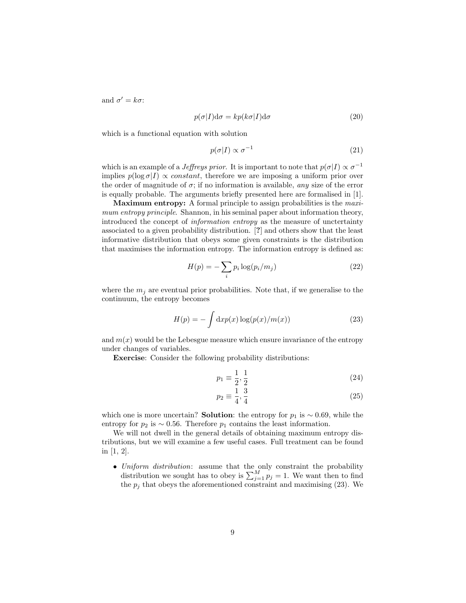and  $\sigma' = k\sigma$ :

$$
p(\sigma|I)d\sigma = kp(k\sigma|I)d\sigma
$$
\n(20)

which is a functional equation with solution

$$
p(\sigma|I) \propto \sigma^{-1} \tag{21}
$$

which is an example of a *Jeffreys prior*. It is important to note that  $p(\sigma|I) \propto \sigma^{-1}$ implies  $p(\log \sigma) \propto constant$ , therefore we are imposing a uniform prior over the order of magnitude of  $\sigma$ ; if no information is available, any size of the error is equally probable. The arguments briefly presented here are formalised in [1].

Maximum entropy: A formal principle to assign probabilities is the *maxi*mum entropy principle. Shannon, in his seminal paper about information theory, introduced the concept of information entropy as the measure of unctertainty associated to a given probability distribution. [?] and others show that the least informative distribution that obeys some given constraints is the distribution that maximises the information entropy. The information entropy is defined as:

$$
H(p) = -\sum_{i} p_i \log(p_i/m_j) \tag{22}
$$

where the  $m_j$  are eventual prior probabilities. Note that, if we generalise to the continuum, the entropy becomes

$$
H(p) = -\int \mathrm{d}x p(x) \log(p(x)/m(x)) \tag{23}
$$

and  $m(x)$  would be the Lebesgue measure which ensure invariance of the entropy under changes of variables.

Exercise: Consider the following probability distributions:

$$
p_1 \equiv \frac{1}{2}, \frac{1}{2} \tag{24}
$$

$$
p_2 \equiv \frac{1}{4}, \frac{3}{4} \tag{25}
$$

which one is more uncertain? **Solution**: the entropy for  $p_1$  is ~ 0.69, while the entropy for  $p_2$  is ~ 0.56. Therefore  $p_1$  contains the least information.

We will not dwell in the general details of obtaining maximum entropy distributions, but we will examine a few useful cases. Full treatment can be found in [1, 2].

• Uniform distribution: assume that the only constraint the probability distribution we sought has to obey is  $\sum_{j=1}^{M} p_j = 1$ . We want then to find the  $p_j$  that obeys the aforementioned constraint and maximising (23). We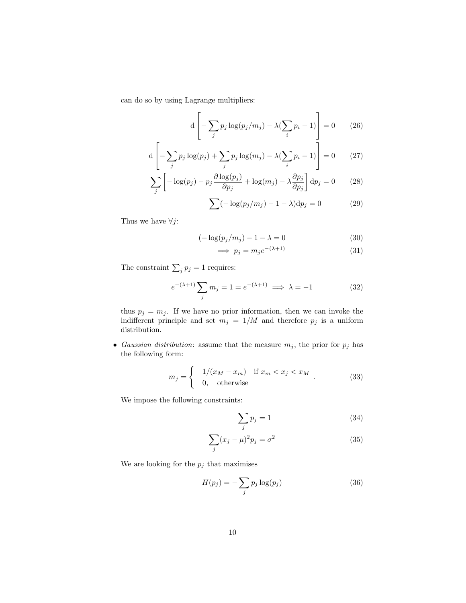can do so by using Lagrange multipliers:

$$
d\left[-\sum_{j} p_j \log(p_j/m_j) - \lambda(\sum_{i} p_i - 1)\right] = 0 \qquad (26)
$$

$$
d\left[-\sum_{j} p_j \log(p_j) + \sum_{j} p_j \log(m_j) - \lambda(\sum_{i} p_i - 1)\right] = 0 \qquad (27)
$$

$$
\sum_{j} \left[ -\log(p_j) - p_j \frac{\partial \log(p_j)}{\partial p_j} + \log(m_j) - \lambda \frac{\partial p_j}{\partial p_j} \right] dp_j = 0 \tag{28}
$$

$$
\sum (-\log(p_j/m_j) - 1 - \lambda) dp_j = 0 \qquad (29)
$$

Thus we have  $\forall j$  :

$$
(-\log(p_j/m_j) - 1 - \lambda = 0 \tag{30}
$$

$$
\implies p_j = m_j e^{-(\lambda + 1)} \tag{31}
$$

The constraint  $\sum_j p_j = 1$  requires:

$$
e^{-(\lambda+1)} \sum_{j} m_j = 1 = e^{-(\lambda+1)} \implies \lambda = -1 \tag{32}
$$

thus  $p_j = m_j$ . If we have no prior information, then we can invoke the indifferent principle and set  $m_j = 1/M$  and therefore  $p_j$  is a uniform distribution.

• Gaussian distribution: assume that the measure  $m_j$ , the prior for  $p_j$  has the following form:

$$
m_j = \begin{cases} 1/(x_M - x_m) & \text{if } x_m < x_j < x_M \\ 0, & \text{otherwise} \end{cases} \tag{33}
$$

We impose the following constraints:

$$
\sum_{j} p_j = 1 \tag{34}
$$

$$
\sum_{j} (x_j - \mu)^2 p_j = \sigma^2 \tag{35}
$$

We are looking for the  $p_j$  that maximises

$$
H(p_j) = -\sum_j p_j \log(p_j) \tag{36}
$$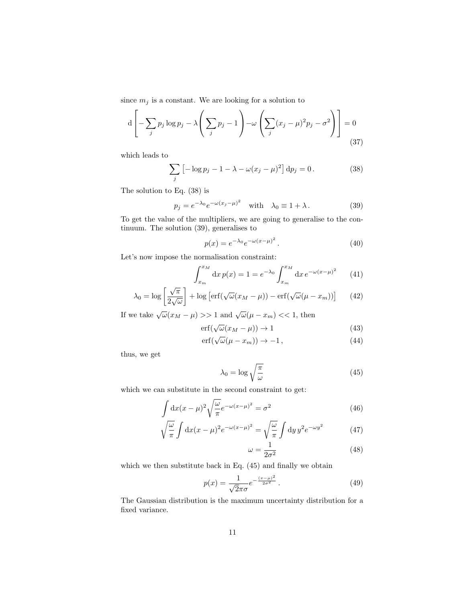since  $m_j$  is a constant. We are looking for a solution to

$$
d\left[-\sum_{j} p_j \log p_j - \lambda \left(\sum_{j} p_j - 1\right) - \omega \left(\sum_{j} (x_j - \mu)^2 p_j - \sigma^2\right)\right] = 0
$$
\n(37)

which leads to

$$
\sum_{j} \left[ -\log p_j - 1 - \lambda - \omega (x_j - \mu)^2 \right] \mathrm{d}p_j = 0. \tag{38}
$$

The solution to Eq. (38) is

$$
p_j = e^{-\lambda_0} e^{-\omega(x_j - \mu)^2} \quad \text{with} \quad \lambda_0 \equiv 1 + \lambda \,. \tag{39}
$$

To get the value of the multipliers, we are going to generalise to the continuum. The solution (39), generalises to

$$
p(x) = e^{-\lambda_0} e^{-\omega(x-\mu)^2}.
$$
 (40)

Let's now impose the normalisation constraint:

$$
\int_{x_m}^{x_M} dx \, p(x) = 1 = e^{-\lambda_0} \int_{x_m}^{x_M} dx \, e^{-\omega(x-\mu)^2} \qquad (41)
$$

$$
\lambda_0 = \log \left[ \frac{\sqrt{\pi}}{2\sqrt{\omega}} \right] + \log \left[ \text{erf}(\sqrt{\omega}(x_M - \mu)) - \text{erf}(\sqrt{\omega}(\mu - x_m)) \right] \tag{42}
$$

If we take  $\sqrt{\omega}(x_M - \mu) >> 1$  and  $\sqrt{\omega}(\mu - x_m) << 1$ , then

$$
\operatorname{erf}(\sqrt{\omega}(x_M - \mu)) \to 1 \tag{43}
$$

$$
\text{erf}(\sqrt{\omega}(\mu - x_m)) \to -1, \tag{44}
$$

thus, we get

$$
\lambda_0 = \log \sqrt{\frac{\pi}{\omega}} \tag{45}
$$

which we can substitute in the second constraint to get:

$$
\int dx (x - \mu)^2 \sqrt{\frac{\omega}{\pi}} e^{-\omega(x - \mu)^2} = \sigma^2 \tag{46}
$$

$$
\sqrt{\frac{\omega}{\pi}} \int dx (x - \mu)^2 e^{-\omega (x - \mu)^2} = \sqrt{\frac{\omega}{\pi}} \int dy y^2 e^{-\omega y^2}
$$
(47)

$$
\omega = \frac{1}{2\sigma^2} \tag{48}
$$

which we then substitute back in Eq. (45) and finally we obtain

$$
p(x) = \frac{1}{\sqrt{2\pi}\sigma} e^{-\frac{(x-\mu)^2}{2\sigma^2}}.
$$
\n(49)

The Gaussian distribution is the maximum uncertainty distribution for a fixed variance.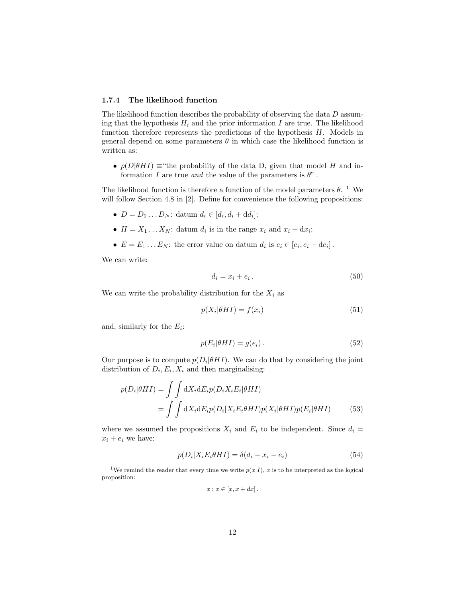#### 1.7.4 The likelihood function

The likelihood function describes the probability of observing the data D assuming that the hypothesis  $H_i$  and the prior information I are true. The likelihood function therefore represents the predictions of the hypothesis  $H$ . Models in general depend on some parameters  $\theta$  in which case the likelihood function is written as:

•  $p(D|\theta H I) \equiv$ "the probability of the data D, given that model H and information I are true and the value of the parameters is  $\theta$ ".

The likelihood function is therefore a function of the model parameters  $\theta$ . <sup>1</sup> We will follow Section 4.8 in [2]. Define for convenience the following propositions:

- $D = D_1 ... D_N$ : datum  $d_i \in [d_i, d_i + dd_i]$ ;
- $H = X_1 \dots X_N$ : datum  $d_i$  is in the range  $x_i$  and  $x_i + dx_i$ ;
- $E = E_1 \dots E_N$ : the error value on datum  $d_i$  is  $e_i \in [e_i, e_i + de_i]$ .

We can write:

$$
d_i = x_i + e_i. \tag{50}
$$

We can write the probability distribution for the  $X_i$  as

$$
p(X_i|\theta H I) = f(x_i) \tag{51}
$$

and, similarly for the  $E_i$ :

$$
p(E_i|\theta HI) = g(e_i). \tag{52}
$$

Our purpose is to compute  $p(D_i|\theta H I)$ . We can do that by considering the joint distribution of  $D_i, E_i, X_i$  and then marginalising:

$$
p(D_i|\theta HI) = \iint dX_i dE_i p(D_i X_i E_i|\theta HI)
$$
  
= 
$$
\iint dX_i dE_i p(D_i|X_i E_i \theta HI) p(X_i|\theta HI) p(E_i|\theta HI)
$$
 (53)

where we assumed the propositions  $X_i$  and  $E_i$  to be independent. Since  $d_i =$  $x_i + e_i$  we have:

$$
p(D_i|X_iE_i\theta HI) = \delta(d_i - x_i - e_i)
$$
\n(54)

$$
x: x \in [x, x+dx].
$$

<sup>&</sup>lt;sup>1</sup>We remind the reader that every time we write  $p(x|I)$ , x is to be interpreted as the logical proposition: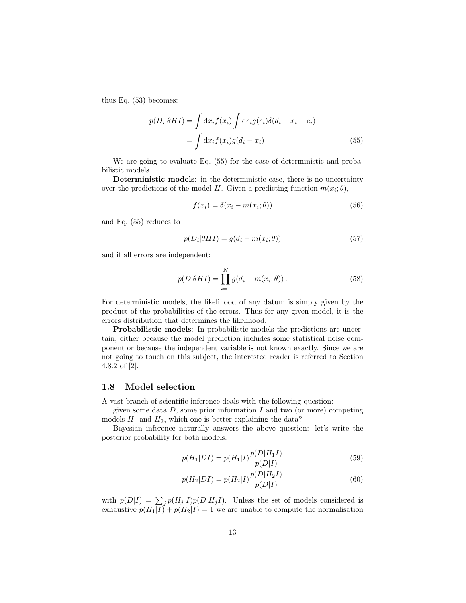thus Eq. (53) becomes:

$$
p(D_i|\theta H I) = \int dx_i f(x_i) \int de_i g(e_i) \delta(d_i - x_i - e_i)
$$
  
= 
$$
\int dx_i f(x_i) g(d_i - x_i)
$$
 (55)

We are going to evaluate Eq. (55) for the case of deterministic and probabilistic models.

Deterministic models: in the deterministic case, there is no uncertainty over the predictions of the model H. Given a predicting function  $m(x_i; \theta)$ ,

$$
f(x_i) = \delta(x_i - m(x_i; \theta))
$$
\n(56)

and Eq. (55) reduces to

$$
p(D_i|\theta HI) = g(d_i - m(x_i; \theta))
$$
\n(57)

and if all errors are independent:

$$
p(D|\theta HI) = \prod_{i=1}^{N} g(d_i - m(x_i; \theta)).
$$
\n(58)

For deterministic models, the likelihood of any datum is simply given by the product of the probabilities of the errors. Thus for any given model, it is the errors distribution that determines the likelihood.

Probabilistic models: In probabilistic models the predictions are uncertain, either because the model prediction includes some statistical noise component or because the independent variable is not known exactly. Since we are not going to touch on this subject, the interested reader is referred to Section 4.8.2 of [2].

#### 1.8 Model selection

A vast branch of scientific inference deals with the following question:

given some data  $D$ , some prior information  $I$  and two (or more) competing models  $H_1$  and  $H_2$ , which one is better explaining the data?

Bayesian inference naturally answers the above question: let's write the posterior probability for both models:

$$
p(H_1|DI) = p(H_1|I) \frac{p(D|H_1I)}{p(D|I)}
$$
\n(59)

$$
p(H_2|DI) = p(H_2|I) \frac{p(D|H_2I)}{p(D|I)}
$$
\n(60)

with  $p(D|I) = \sum_j p(H_j|I)p(D|H_jI)$ . Unless the set of models considered is exhaustive  $p(H_1|I) + p(H_2|I) = 1$  we are unable to compute the normalisation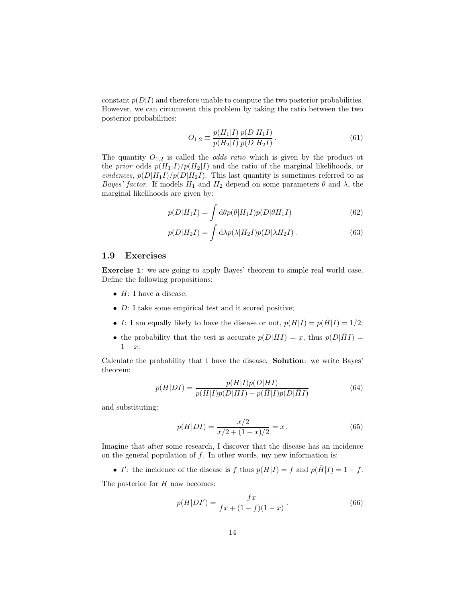constant  $p(D|I)$  and therefore unable to compute the two posterior probabilities. However, we can circumvent this problem by taking the ratio between the two posterior probabilities:

$$
O_{1,2} \equiv \frac{p(H_1|I)}{p(H_2|I)} \frac{p(D|H_1I)}{p(D|H_2I)}.
$$
\n(61)

The quantity  $O_{1,2}$  is called the *odds ratio* which is given by the product ot the prior odds  $p(H_1|I)/p(H_2|I)$  and the ratio of the marginal likelihoods, or evidences,  $p(D|H_1I)/p(D|H_2I)$ . This last quantity is sometimes referred to as Bayes' factor. If models  $H_1$  and  $H_2$  depend on some parameters  $\theta$  and  $\lambda$ , the marginal likelihoods are given by:

$$
p(D|H_1I) = \int d\theta p(\theta|H_1I)p(D|\theta H_1I)
$$
\n(62)

$$
p(D|H_2I) = \int d\lambda p(\lambda|H_2I)p(D|\lambda H_2I). \qquad (63)
$$

#### 1.9 Exercises

Exercise 1: we are going to apply Bayes' theorem to simple real world case. Define the following propositions:

- $H: I$  have a disease;
- D: I take some empirical test and it scored positive;
- I: I am equally likely to have the disease or not,  $p(H|I) = p(\overline{H}|I) = 1/2$ ;
- the probability that the test is accurate  $p(D|HI) = x$ , thus  $p(D|HI) =$  $1 - x$ .

Calculate the probability that I have the disease. Solution: we write Bayes' theorem:

$$
p(H|DI) = \frac{p(H|I)p(D|HI)}{p(H|I)p(D|HI) + p(\overline{H}|I)p(D|\overline{H}I)}\tag{64}
$$

and substituting:

$$
p(H|DI) = \frac{x/2}{x/2 + (1-x)/2} = x.
$$
\n(65)

Imagine that after some research, I discover that the disease has an incidence on the general population of  $f$ . In other words, my new information is:

• I': the incidence of the disease is f thus  $p(H|I) = f$  and  $p(\overline{H}|I) = 1 - f$ .

The posterior for  $H$  now becomes:

$$
p(H|DI') = \frac{fx}{fx + (1 - f)(1 - x)}.
$$
\n(66)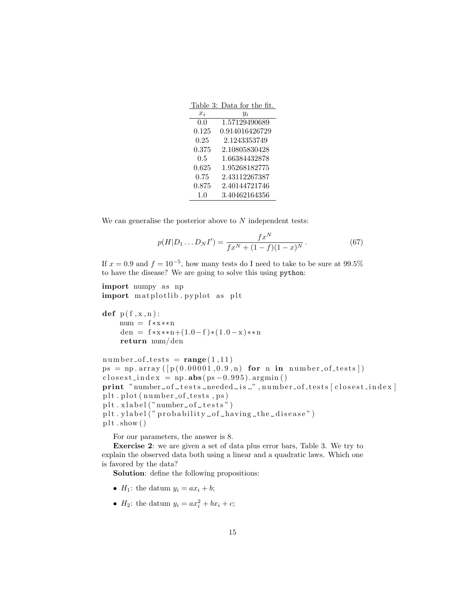|           | Table 3: Data for the fit. |
|-----------|----------------------------|
| $x_i$     | $y_i$                      |
| 0.0       | 1.57129490689              |
| $0.125\,$ | 0.914016426729             |
| 0.25      | 2.1243353749               |
| 0.375     | 2.10805830428              |
| $0.5\,$   | 1.66384432878              |
| 0.625     | 1.95268182775              |
| 0.75      | 2.43112267387              |
| 0.875     | 2.40144721746              |
| 1.0       | 3.40462164356              |

We can generalise the posterior above to  $N$  independent tests:

$$
p(H|D_1...D_N I') = \frac{fx^N}{fx^N + (1-f)(1-x)^N}.
$$
\n(67)

If  $x = 0.9$  and  $f = 10^{-5}$ , how many tests do I need to take to be sure at  $99.5\%$ to have the disease? We are going to solve this using python:

import numpy as np import matplotlib . pyplot as plt

def  $p(f, x, n)$ : num = f ∗x∗∗n den = f \* x \* \* n +  $(1.0 - f)$  \*  $(1.0 - x)$  \* \* n return num/ den

```
number\_of\_tests = range(1,11)ps = np.array([p(0.00001, 0.9, n) for n in number-of-tests])
\text{closest}\_\text{in}\_\text{ex} = \text{np}\.\text{abs}(\text{ps}-0.995).\text{argmin}()print "number_of_tests_needed_is_",number_of_tests[closest_index]
plt.plot(number_of_test, ps)plt : xlabel("number\_of\_tests")plt. y label (" probability of-having-the-disease")
plt.show()
```
For our parameters, the answer is 8.

Exercise 2: we are given a set of data plus error bars, Table 3. We try to explain the observed data both using a linear and a quadratic laws. Which one is favored by the data?

Solution: define the following propositions:

- $H_1$ : the datum  $y_i = ax_i + b$ ;
- $H_2$ : the datum  $y_i = ax_i^2 + bx_i + c$ ;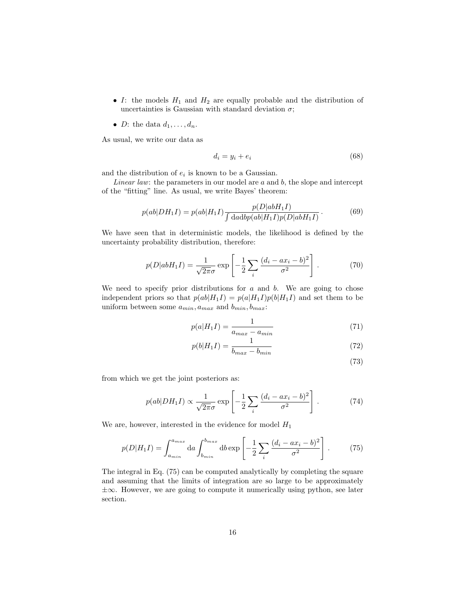- I: the models  $H_1$  and  $H_2$  are equally probable and the distribution of uncertainties is Gaussian with standard deviation  $\sigma$ ;
- D: the data  $d_1, \ldots, d_n$ .

As usual, we write our data as

$$
d_i = y_i + e_i \tag{68}
$$

and the distribution of  $e_i$  is known to be a Gaussian.

*Linear law:* the parameters in our model are  $a$  and  $b$ , the slope and intercept of the "fitting" line. As usual, we write Bayes' theorem:

$$
p(ab|DH_1I) = p(ab|H_1I) \frac{p(D|abH_1I)}{\int dadbp(ab|H_1I)p(D|abH_1I)}.
$$
 (69)

We have seen that in deterministic models, the likelihood is defined by the uncertainty probability distribution, therefore:

$$
p(D|abH_1I) = \frac{1}{\sqrt{2\pi}\sigma} \exp\left[-\frac{1}{2}\sum_{i} \frac{(d_i - ax_i - b)^2}{\sigma^2}\right].
$$
 (70)

We need to specify prior distributions for  $a$  and  $b$ . We are going to chose independent priors so that  $p(ab|H_1I) = p(a|H_1I)p(b|H_1I)$  and set them to be uniform between some  $a_{min}$ ,  $a_{max}$  and  $b_{min}$ ,  $b_{max}$ :

$$
p(a|H_1I) = \frac{1}{a_{max} - a_{min}}\tag{71}
$$

$$
p(b|H_1I) = \frac{1}{b_{max} - b_{min}}\tag{72}
$$

$$
(73)
$$

from which we get the joint posteriors as:

$$
p(ab|DH_1I) \propto \frac{1}{\sqrt{2\pi}\sigma} \exp\left[-\frac{1}{2}\sum_i \frac{(d_i - ax_i - b)^2}{\sigma^2}\right].
$$
 (74)

We are, however, interested in the evidence for model  $H_1$ 

$$
p(D|H_1I) = \int_{a_{min}}^{a_{max}} da \int_{b_{min}}^{b_{max}} db \exp\left[-\frac{1}{2}\sum_i \frac{(d_i - ax_i - b)^2}{\sigma^2}\right].
$$
 (75)

The integral in Eq. (75) can be computed analytically by completing the square and assuming that the limits of integration are so large to be approximately ±∞. However, we are going to compute it numerically using python, see later section.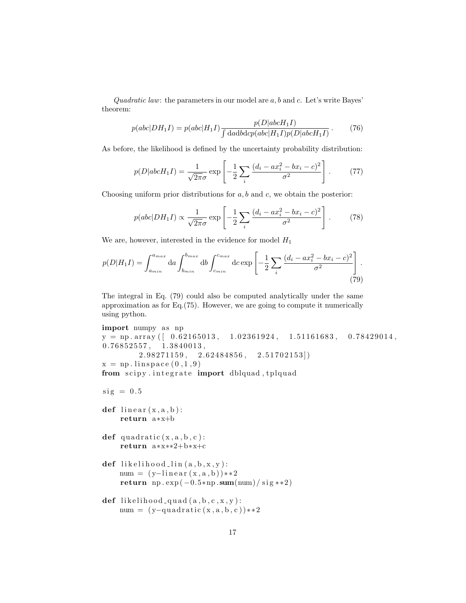Quadratic law: the parameters in our model are  $a, b$  and  $c$ . Let's write Bayes' theorem:

$$
p(abc|DH_1I) = p(abc|H_1I) \frac{p(D|abcH_1I)}{\int dadbdcp(abc|H_1I)p(D|abcH_1I)}.
$$
 (76)

As before, the likelihood is defined by the uncertainty probability distribution:

$$
p(D|abcH_1I) = \frac{1}{\sqrt{2\pi}\sigma} \exp\left[-\frac{1}{2}\sum_i \frac{(d_i - ax_i^2 - bx_i - c)^2}{\sigma^2}\right].
$$
 (77)

Choosing uniform prior distributions for  $a, b$  and  $c$ , we obtain the posterior:

$$
p(abc|DH_1I) \propto \frac{1}{\sqrt{2\pi}\sigma} \exp\left[-\frac{1}{2}\sum_i \frac{(d_i - ax_i^2 - bx_i - c)^2}{\sigma^2}\right].
$$
 (78)

We are, however, interested in the evidence for model  $H_1$ 

$$
p(D|H_1I) = \int_{a_{min}}^{a_{max}} da \int_{b_{min}}^{b_{max}} db \int_{c_{min}}^{c_{max}} dc \exp\left[-\frac{1}{2} \sum_i \frac{(d_i - ax_i^2 - bx_i - c)^2}{\sigma^2}\right].
$$
\n(79)

The integral in Eq. (79) could also be computed analytically under the same approximation as for Eq.(75). However, we are going to compute it numerically using python.

```
import numpy as np
y = np \cdot array ( [ 0.62165013, 1.02361924, 1.51161683, 0.78429014, ]0.76852557, 1.3840013,2.98271159, 2.62484856, 2.51702153]x = np. linspace (0, 1, 9)from scipy integrate import dblquad, tplquad
sig = 0.5def linear(x, a, b):
    return a∗x+b
def quadratic(x, a, b, c):
    return a∗x∗∗2+b∗x+c
def likelihood_lin(a, b, x, y):
    num = (y-linear(x, a, b))**2
    return np. \exp(-0.5*np.sum(num)/sig**2)def likelihood_quad(a, b, c, x, y):
    num = (y-quadratic(x, a, b, c))**2
```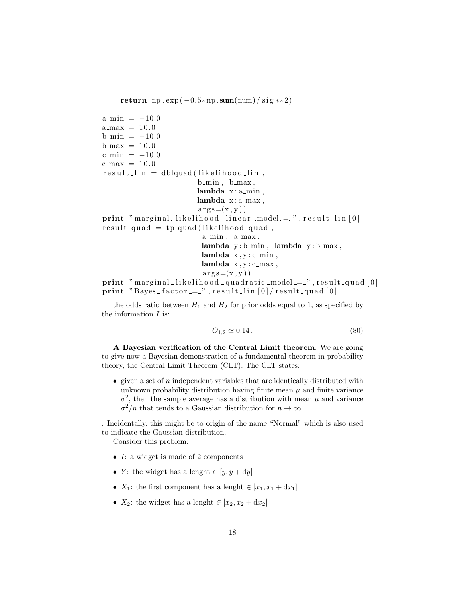return np.  $\exp(-0.5*np.sum(num)/sig**2)$ 

 $a_{\text{min}} = -10.0$  $a_{max} = 10.0$  $b_{\text{min}} = -10.0$  $b_{max} = 10.0$  $c_{\text{min}} = -10.0$  $c_{\text{max}} = 10.0$  $result\_lin = dblquad (likelihood\_lin,$  $b$ <sub>min</sub>,  $b$ <sub>max</sub>,  $lambda x: a.min,$  $lambda x: a_max,$  $\arg s = (x, y)$  $print$  " marginal likelihood linear  $\text{model} = "$ , result lin [0]  $result-quad = tplquad (likelihood-quad,$ a<sub>min</sub>, a<sub>max</sub>, lambda  $y : b$ <sub>min</sub>, lambda  $y : b$ <sub>max</sub>, lambda  $x, y: c \nvert min$ , lambda  $x, y: c \text{ max}$ ,  $arg s = (x, y)$  $print$  " marginal likelihood quadratic model  $=$  ", result quad [0] print "Bayes\_factor  $=$ ", result\_lin  $[0]/$  result\_quad  $[0]$ 

the odds ratio between  $H_1$  and  $H_2$  for prior odds equal to 1, as specified by the information  $I$  is:

$$
O_{1,2} \simeq 0.14 \,. \tag{80}
$$

A Bayesian verification of the Central Limit theorem: We are going to give now a Bayesian demonstration of a fundamental theorem in probability theory, the Central Limit Theorem (CLT). The CLT states:

 $\bullet$  given a set of *n* independent variables that are identically distributed with unknown probability distribution having finite mean  $\mu$  and finite variance  $\sigma^2$ , then the sample average has a distribution with mean  $\mu$  and variance  $\sigma^2/n$  that tends to a Gaussian distribution for  $n \to \infty$ .

. Incidentally, this might be to origin of the name "Normal" which is also used to indicate the Gaussian distribution.

Consider this problem:

- I: a widget is made of 2 components
- Y: the widget has a lenght  $\in [y, y + dy]$
- $X_1$ : the first component has a lenght  $\in [x_1, x_1 + dx_1]$
- $X_2$ : the widget has a lenght  $\in [x_2, x_2 + dx_2]$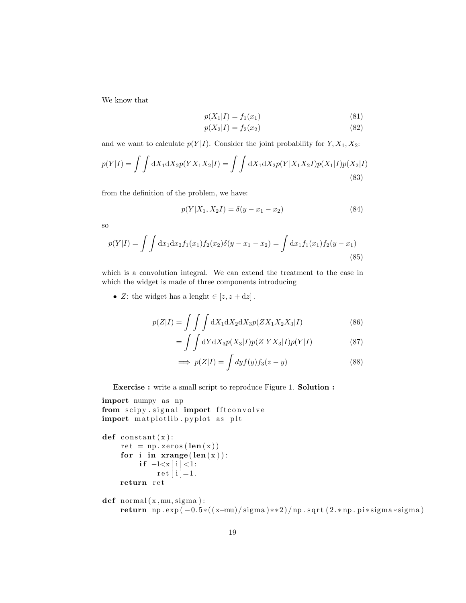We know that

$$
p(X_1|I) = f_1(x_1)
$$
\n(81)

$$
p(X_2|I) = f_2(x_2)
$$
\n(82)

and we want to calculate  $p(Y|I)$ . Consider the joint probability for  $Y, X_1, X_2$ :

$$
p(Y|I) = \int \int dX_1 dX_2 p(YX_1 X_2|I) = \int \int dX_1 dX_2 p(Y|X_1 X_2 I) p(X_1|I) p(X_2|I)
$$
\n(83)

from the definition of the problem, we have:

$$
p(Y|X_1, X_2I) = \delta(y - x_1 - x_2)
$$
\n(84)

so

$$
p(Y|I) = \int \int dx_1 dx_2 f_1(x_1) f_2(x_2) \delta(y - x_1 - x_2) = \int dx_1 f_1(x_1) f_2(y - x_1)
$$
\n(85)

which is a convolution integral. We can extend the treatment to the case in which the widget is made of three components introducing

• Z: the widget has a lenght  $\in [z, z + dz]$ .

$$
p(Z|I) = \iint\limits_{\mathcal{L}} \int \limits_{\mathcal{L}} dX_1 dX_2 dX_3 p(ZX_1 X_2 X_3 | I) \tag{86}
$$

$$
= \int \int dY dX_3 p(X_3|I) p(Z|YX_3|I) p(Y|I)
$$
\n(87)

$$
\implies p(Z|I) = \int dy f(y) f_3(z - y) \tag{88}
$$

Exercise : write a small script to reproduce Figure 1. Solution :

```
import numpy as np
from scipy.signal import fftconvolve
import matplotlib . pyplot as plt
```

```
def constant(x):
     ret = np \cdot zeros (len(x))for i in \mathbf{x}range (\mathbf{len}(x)):
          if -1 < x[i] < 1:
                ret[i]=1.return ret
```

```
def normal(x, mu, sigma):
    return np. exp (-0.5*((x-mu)/\text{sigma})**2)/np. sqrt(2.*np.pi)*signa*signa)
```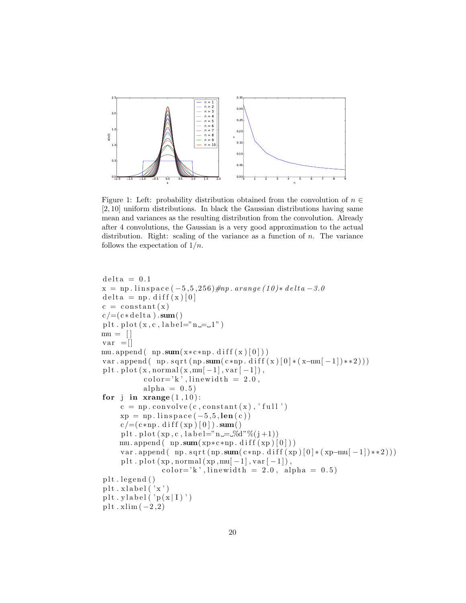

Figure 1: Left: probability distribution obtained from the convolution of  $n \in$ [2, 10] uniform distributions. In black the Gaussian distributions having same mean and variances as the resulting distribution from the convolution. Already after 4 convolutions, the Gaussian is a very good approximation to the actual distribution. Right: scaling of the variance as a function of  $n$ . The variance follows the expectation of  $1/n$ .

```
delta = 0.1x = np. linspace (-5.5, 256)#np. arange (10)* delta -3.0
delta = np \cdot diff(x) [0]c = constant(x)c / = ( c * delta ) . sum()plt. plot (x, c, \text{label} = "n = 1")mu = []var =[]
mu. append ( np. sum(x * c * np \cdot diff(x) [0]))
var . append ( np . sqrt (np . sum ( c *np . d i f f ( x ) [0] * (x - mu[-1]) **2)))
plt. plot (x, normal(x, mu[-1], var[-1]),
           color='k', linewidth = 2.0,
           alpha = 0.5)
for j in \mathbf{xrange}(1,10):
     c = np. convolve (c, constant(x), 'full')xp = np. linspace (-5.5, len(c))c = (c * np \cdot diff(xp) [0]) . sum()plt.plot (xp, c, label=" n = \mathcal{A}^{\omega}(\tilde{a} + 1))mu. append ( np. sum(xp*c*np \cdot diff(xp) [0]))var . append ( np . sqrt (np . sum ( c *np . d if f (xp ) [0] * (xp-mu[-1]) **2)))
     p l t . p l o t (xp, normal (xp, mu[-1], var [-1]),
                 color='k', linewidth = 2.0, alpha = 0.5)
plt.legend()
plt. xlabel('x')plt. y \,label( 'p(x | I)')
plt \cdot xlim(-2,2)
```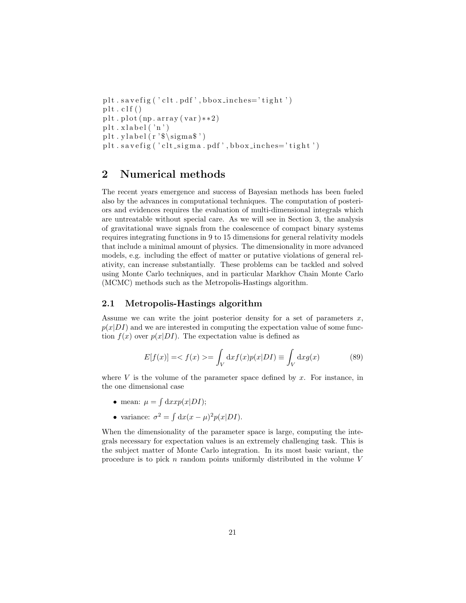```
plt. savefig ('clt.pdf',bbox_inches='tight')
plt . clf()plt.plot (np.array(var) * * 2)
plt. xlabel('n')plt. y \leq h(r \cdot \text{sigma} \cdot \text{sigma} \cdot \text{sigma} \cdot \text{sigma} \cdot \text{sigma} \cdot \text{sigma} \cdot \text{sigma} \cdot \text{sigma} \cdot \text{sigma} \cdot \text{sigma} \cdot \text{sigma} \cdot \text{sigma} \cdot \text{sigma} \cdot \text{sigma} \cdot \text{sigma} \cdot \text{sigma} \cdot \text{sigma} \cdot \text{sigma} \cdot \text{sigma} \cdot \text{sigma} \cdot \text{sigma} \cdot \text{sigma} \cdot \text{sigma} \cdot \text{sigma} \cdot \text{sigma} \cdot \text{sigma} \cdot \text{sigma} \cdot \text{sigma} \cdot \text{sigma} \cdot \text{sigmaplt.savefig ('clt_sigma.pdf', bbox_inches='tight')
```
# 2 Numerical methods

The recent years emergence and success of Bayesian methods has been fueled also by the advances in computational techniques. The computation of posteriors and evidences requires the evaluation of multi-dimensional integrals which are untreatable without special care. As we will see in Section 3, the analysis of gravitational wave signals from the coalescence of compact binary systems requires integrating functions in 9 to 15 dimensions for general relativity models that include a minimal amount of physics. The dimensionality in more advanced models, e.g. including the effect of matter or putative violations of general relativity, can increase substantially. These problems can be tackled and solved using Monte Carlo techniques, and in particular Markhov Chain Monte Carlo (MCMC) methods such as the Metropolis-Hastings algorithm.

#### 2.1 Metropolis-Hastings algorithm

Assume we can write the joint posterior density for a set of parameters  $x$ ,  $p(x|DI)$  and we are interested in computing the expectation value of some function  $f(x)$  over  $p(x|DI)$ . The expectation value is defined as

$$
E[f(x)] = \langle f(x) \rangle = \int_{V} dx f(x) p(x|DI) \equiv \int_{V} dx g(x) \tag{89}
$$

where  $V$  is the volume of the parameter space defined by  $x$ . For instance, in the one dimensional case

- mean:  $\mu = \int dx x p(x|DI);$
- variance:  $\sigma^2 = \int dx (x \mu)^2 p(x|DI)$ .

When the dimensionality of the parameter space is large, computing the integrals necessary for expectation values is an extremely challenging task. This is the subject matter of Monte Carlo integration. In its most basic variant, the procedure is to pick  $n$  random points uniformly distributed in the volume  $V$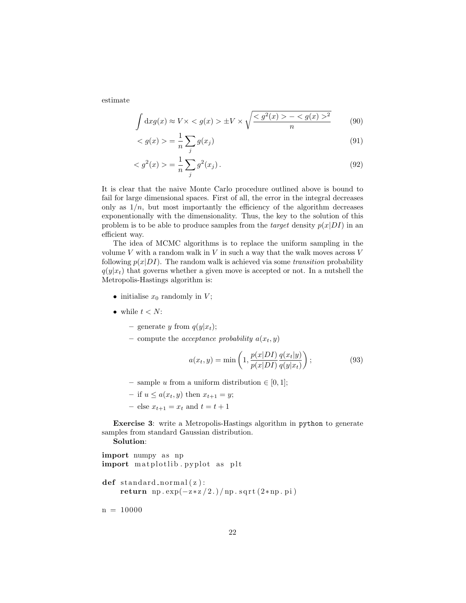estimate

$$
\int dx g(x) \approx V \times \langle g(x) \rangle \pm V \times \sqrt{\frac{\langle g^2(x) \rangle - \langle g(x) \rangle^2}{n}} \qquad (90)
$$

$$
\langle g(x) \rangle = \frac{1}{n} \sum_{j} g(x_j) \tag{91}
$$

$$
\langle g^2(x) \rangle = \frac{1}{n} \sum_{j} g^2(x_j). \tag{92}
$$

It is clear that the naive Monte Carlo procedure outlined above is bound to fail for large dimensional spaces. First of all, the error in the integral decreases only as  $1/n$ , but most importantly the efficiency of the algorithm decreases exponentionally with the dimensionality. Thus, the key to the solution of this problem is to be able to produce samples from the *target* density  $p(x|DI)$  in an efficient way.

The idea of MCMC algorithms is to replace the uniform sampling in the volume  $V$  with a random walk in  $V$  in such a way that the walk moves across  $V$ following  $p(x|DI)$ . The random walk is achieved via some *transition* probability  $q(y|x_t)$  that governs whether a given move is accepted or not. In a nutshell the Metropolis-Hastings algorithm is:

- initialise  $x_0$  randomly in  $V$ ;
- while  $t < N$ :
	- generate y from  $q(y|x_t);$
	- compute the *acceptance probability*  $a(x_t, y)$

$$
a(x_t, y) = \min\left(1, \frac{p(x|DI)}{p(x|DI)} \frac{q(x_t|y)}{q(y|x_t)}\right);
$$
\n(93)

- sample u from a uniform distribution  $\in [0, 1]$ ;
- if  $u \leq a(x_t, y)$  then  $x_{t+1} = y$ ;
- else  $x_{t+1} = x_t$  and  $t = t + 1$

Exercise 3: write a Metropolis-Hastings algorithm in python to generate samples from standard Gaussian distribution.

Solution:

```
import numpy as np
import matplotlib pyplot as plt
def standard_normal(z):
     return np. \exp(-z \times z / 2.)/np \cdot \sqrt{2 \times np \cdot pi}
```
 $n = 10000$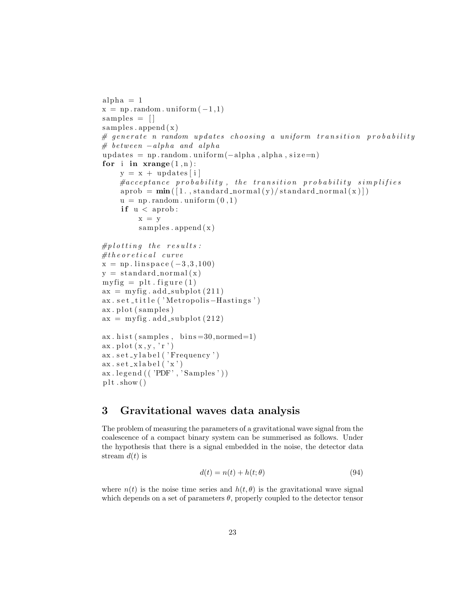```
alpha = 1x = np.random. uniform (-1,1)samples = []samples . append (x)\# generate n random updates choosing a uniform transition probability
# between -alpha and alpha
update s = np.random.uniform(-alpha, alpha, alpha, size=n)for i in \mathbf{x}range (1, n):
    y = x + \text{ updates}[i]
    \# acceptance\ probability, the transition probability simplifies
    aprob = min([1., standard-normal(y)/standard-normal(x)])u = np.random. uniform (0,1)if u < aprob:
         x = ysamples.append(x)#p l otting the results:
# theoretical curvex = np. linspace (-3, 3, 100)y = standard_normal(x)
myfig = plt~figure(1)ax = myfig.add-subplot(211)ax . set _title ( 'Metropolis-Hastings ')
ax. plot(samples)ax = myfig.add-subplot(212)ax. hist(samples, bins = 30, normed = 1)ax. plot(x, y, 'r')ax.set_ylabel('Frequency')
ax.set_xlabel('x')ax \cdot legend\left(\left(\right. \left'PDF\right., \left.'Samples\right.\right)\right)plt.show()
```
# 3 Gravitational waves data analysis

The problem of measuring the parameters of a gravitational wave signal from the coalescence of a compact binary system can be summerised as follows. Under the hypothesis that there is a signal embedded in the noise, the detector data stream  $d(t)$  is

$$
d(t) = n(t) + h(t; \theta)
$$
\n(94)

where  $n(t)$  is the noise time series and  $h(t, \theta)$  is the gravitational wave signal which depends on a set of parameters  $\theta$ , properly coupled to the detector tensor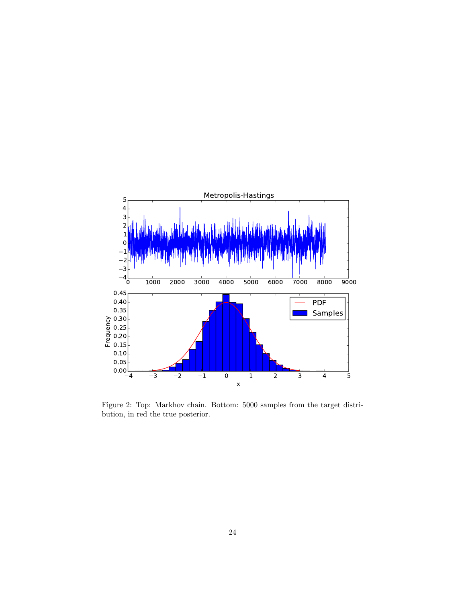

Figure 2: Top: Markhov chain. Bottom: 5000 samples from the target distribution, in red the true posterior.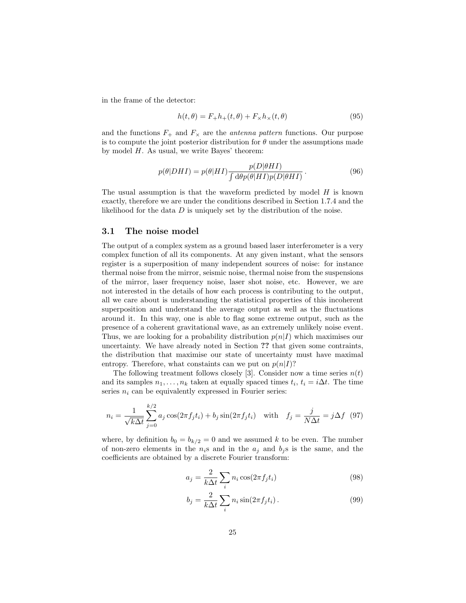in the frame of the detector:

$$
h(t, \theta) = F_{+}h_{+}(t, \theta) + F_{\times}h_{\times}(t, \theta)
$$
\n(95)

and the functions  $F_+$  and  $F_\times$  are the *antenna pattern* functions. Our purpose is to compute the joint posterior distribution for  $\theta$  under the assumptions made by model  $H$ . As usual, we write Bayes' theorem:

$$
p(\theta|DHI) = p(\theta|HI) \frac{p(D|\theta HI)}{\int d\theta p(\theta|HI)p(D|\theta HI)}.
$$
\n(96)

The usual assumption is that the waveform predicted by model  $H$  is known exactly, therefore we are under the conditions described in Section 1.7.4 and the likelihood for the data  $D$  is uniquely set by the distribution of the noise.

#### 3.1 The noise model

The output of a complex system as a ground based laser interferometer is a very complex function of all its components. At any given instant, what the sensors register is a superposition of many independent sources of noise: for instance thermal noise from the mirror, seismic noise, thermal noise from the suspensions of the mirror, laser frequency noise, laser shot noise, etc. However, we are not interested in the details of how each process is contributing to the output, all we care about is understanding the statistical properties of this incoherent superposition and understand the average output as well as the fluctuations around it. In this way, one is able to flag some extreme output, such as the presence of a coherent gravitational wave, as an extremely unlikely noise event. Thus, we are looking for a probability distribution  $p(n|I)$  which maximises our uncertainty. We have already noted in Section ?? that given some contraints, the distribution that maximise our state of uncertainty must have maximal entropy. Therefore, what constaints can we put on  $p(n|I)$ ?

The following treatment follows closely [3]. Consider now a time series  $n(t)$ and its samples  $n_1, \ldots, n_k$  taken at equally spaced times  $t_i, t_i = i\Delta t$ . The time series  $n_i$  can be equivalently expressed in Fourier series:

$$
n_i = \frac{1}{\sqrt{k\Delta t}} \sum_{j=0}^{k/2} a_j \cos(2\pi f_j t_i) + b_j \sin(2\pi f_j t_i) \quad \text{with} \quad f_j = \frac{j}{N\Delta t} = j\Delta f \tag{97}
$$

where, by definition  $b_0 = b_{k/2} = 0$  and we assumed k to be even. The number of non-zero elements in the  $n_i$ s and in the  $a_j$  and  $b_j$ s is the same, and the coefficients are obtained by a discrete Fourier transform:

$$
a_j = \frac{2}{k\Delta t} \sum_i n_i \cos(2\pi f_j t_i)
$$
\n(98)

$$
b_j = \frac{2}{k\Delta t} \sum_i n_i \sin(2\pi f_j t_i).
$$
 (99)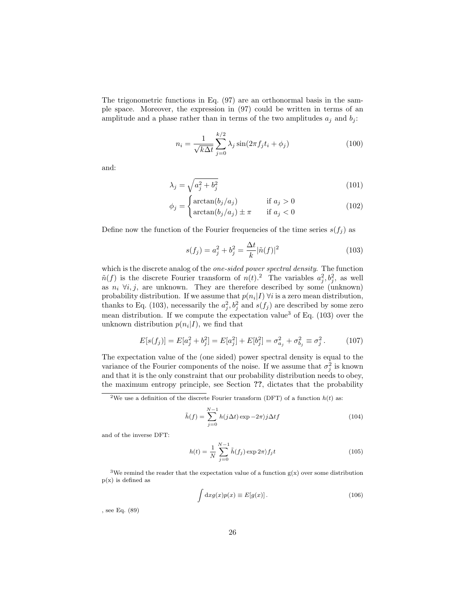The trigonometric functions in Eq. (97) are an orthonormal basis in the sample space. Moreover, the expression in (97) could be written in terms of an amplitude and a phase rather than in terms of the two amplitudes  $a_j$  and  $b_j$ :

$$
n_i = \frac{1}{\sqrt{k\Delta t}} \sum_{j=0}^{k/2} \lambda_j \sin(2\pi f_j t_i + \phi_j)
$$
\n(100)

and:

$$
\lambda_j = \sqrt{a_j^2 + b_j^2} \tag{101}
$$

$$
\phi_j = \begin{cases}\n\arctan(b_j/a_j) & \text{if } a_j > 0 \\
\arctan(b_j/a_j) \pm \pi & \text{if } a_j < 0\n\end{cases}
$$
\n(102)

Define now the function of the Fourier frequencies of the time series  $s(f_j)$  as

$$
s(f_j) = a_j^2 + b_j^2 = \frac{\Delta t}{k} |\tilde{n}(f)|^2
$$
\n(103)

which is the discrete analog of the *one-sided power spectral density*. The function  $\tilde{n}(f)$  is the discrete Fourier transform of  $n(t)$ .<sup>2</sup> The variables  $a_j^2, b_j^2$ , as well as  $n_i \forall i, j$ , are unknown. They are therefore described by some (unknown) probability distribution. If we assume that  $p(n_i|I)$   $\forall i$  is a zero mean distribution, thanks to Eq. (103), necessarily the  $a_j^2, b_j^2$  and  $s(f_j)$  are described by some zero mean distribution. If we compute the expectation value<sup>3</sup> of Eq. (103) over the unknown distribution  $p(n_i|I)$ , we find that

$$
E[s(f_j)] = E[a_j^2 + b_j^2] = E[a_j^2] + E[b_j^2] = \sigma_{a_j}^2 + \sigma_{b_j}^2 \equiv \sigma_j^2. \tag{107}
$$

The expectation value of the (one sided) power spectral density is equal to the variance of the Fourier components of the noise. If we assume that  $\sigma_j^2$  is known and that it is the only constraint that our probability distribution needs to obey, the maximum entropy principle, see Section ??, dictates that the probability

$$
\tilde{h}(f) = \sum_{j=0}^{N-1} h(j\Delta t) \exp(-2\pi j \Delta t f)
$$
\n(104)

and of the inverse DFT:

$$
h(t) = \frac{1}{N} \sum_{j=0}^{N-1} \tilde{h}(f_j) \exp(2\pi) f_j t
$$
\n(105)

<sup>3</sup>We remind the reader that the expectation value of a function  $g(x)$  over some distribution  $p(x)$  is defined as

$$
\int dx g(x)p(x) \equiv E[g(x)].
$$
\n(106)

, see Eq. (89)

<sup>&</sup>lt;sup>2</sup>We use a definition of the discrete Fourier transform (DFT) of a function  $h(t)$  as: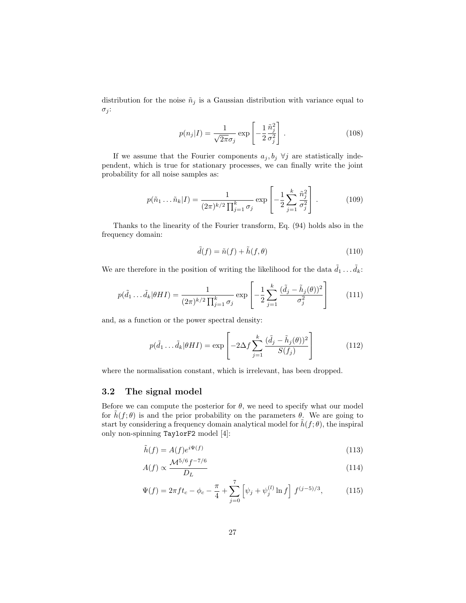distribution for the noise  $\tilde{n}_j$  is a Gaussian distribution with variance equal to  $\sigma_j$ :

$$
p(n_j|I) = \frac{1}{\sqrt{2\pi}\sigma_j} \exp\left[-\frac{1}{2}\frac{\tilde{n}_j^2}{\sigma_j^2}\right].
$$
 (108)

If we assume that the Fourier components  $a_j, b_j \forall j$  are statistically independent, which is true for stationary processes, we can finally write the joint probability for all noise samples as:

$$
p(\tilde{n}_1 \dots \tilde{n}_k | I) = \frac{1}{(2\pi)^{k/2} \prod_{j=1}^k \sigma_j} \exp\left[ -\frac{1}{2} \sum_{j=1}^k \frac{\tilde{n}_j^2}{\sigma_j^2} \right].
$$
 (109)

Thanks to the linearity of the Fourier transform, Eq. (94) holds also in the frequency domain:

$$
\tilde{d}(f) = \tilde{n}(f) + \tilde{h}(f, \theta)
$$
\n(110)

We are therefore in the position of writing the likelihood for the data  $\tilde{d}_1 \dots \tilde{d}_k$ :

$$
p(\tilde{d}_1 \dots \tilde{d}_k | \theta HI) = \frac{1}{(2\pi)^{k/2} \prod_{j=1}^k \sigma_j} \exp\left[ -\frac{1}{2} \sum_{j=1}^k \frac{(\tilde{d}_j - \tilde{h}_j(\theta))^2}{\sigma_j^2} \right]
$$
(111)

and, as a function or the power spectral density:

$$
p(\tilde{d}_1 \dots \tilde{d}_k | \theta HI) = \exp\left[-2\Delta f \sum_{j=1}^k \frac{(\tilde{d}_j - \tilde{h}_j(\theta))^2}{S(f_j)}\right]
$$
(112)

where the normalisation constant, which is irrelevant, has been dropped.

#### 3.2 The signal model

Before we can compute the posterior for  $\theta$ , we need to specify what our model for  $\tilde{h}(f; \theta)$  is and the prior probability on the parameters  $\theta$ . We are going to start by considering a frequency domain analytical model for  $\hat{h}(f; \theta)$ , the inspiral only non-spinning TaylorF2 model [4]:

$$
\tilde{h}(f) = A(f)e^{i\Psi(f)}\tag{113}
$$

$$
A(f) \propto \frac{\mathcal{M}^{5/6} f^{-7/6}}{D_L} \tag{114}
$$

$$
\Psi(f) = 2\pi f t_c - \phi_c - \frac{\pi}{4} + \sum_{j=0}^{7} \left[ \psi_j + \psi_j^{(l)} \ln f \right] f^{(j-5)/3}, \tag{115}
$$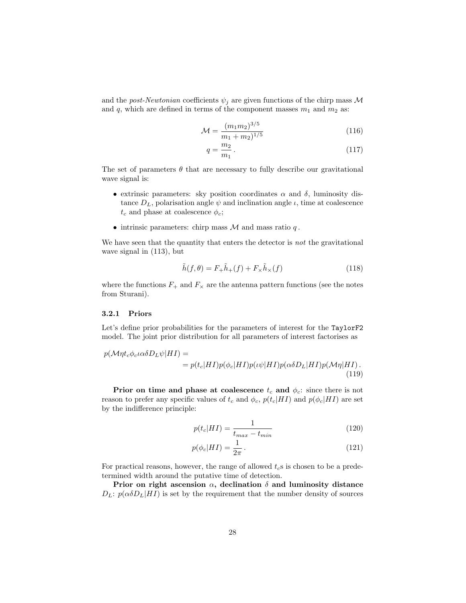and the *post-Newtonian* coefficients  $\psi_j$  are given functions of the chirp mass M and q, which are defined in terms of the component masses  $m_1$  and  $m_2$  as:

$$
\mathcal{M} = \frac{(m_1 m_2)^{3/5}}{m_1 + m_2^{1/5}}\tag{116}
$$

$$
q = \frac{m_2}{m_1} \,. \tag{117}
$$

The set of parameters  $\theta$  that are necessary to fully describe our gravitational wave signal is:

- extrinsic parameters: sky position coordinates  $\alpha$  and  $\delta$ , luminosity distance  $D<sub>L</sub>$ , polarisation angle  $\psi$  and inclination angle  $\iota$ , time at coalescence  $t_c$  and phase at coalescence  $\phi_c$ ;
- intrinsic parameters: chirp mass  $M$  and mass ratio  $q$ .

We have seen that the quantity that enters the detector is *not* the gravitational wave signal in (113), but

$$
\tilde{h}(f,\theta) = F_{+}\tilde{h}_{+}(f) + F_{\times}\tilde{h}_{\times}(f)
$$
\n(118)

where the functions  $F_+$  and  $F_\times$  are the antenna pattern functions (see the notes from Sturani).

#### 3.2.1 Priors

Let's define prior probabilities for the parameters of interest for the TaylorF2 model. The joint prior distribution for all parameters of interest factorises as

$$
p(\mathcal{M}\eta t_c \phi_c \iota \alpha \delta D_L \psi | HI) =
$$
  
= 
$$
p(t_c | HI)p(\phi_c | HI)p(\iota \psi | HI)p(\alpha \delta D_L | HI)p(\mathcal{M}\eta | HI).
$$
 (119)

Prior on time and phase at coalescence  $t_c$  and  $\phi_c$ : since there is not reason to prefer any specific values of  $t_c$  and  $\phi_c$ ,  $p(t_c|HI)$  and  $p(\phi_c|HI)$  are set by the indifference principle:

$$
p(t_c|HI) = \frac{1}{t_{max} - t_{min}}\tag{120}
$$

$$
p(\phi_c|HI) = \frac{1}{2\pi} \,. \tag{121}
$$

For practical reasons, however, the range of allowed  $t_c$ s is chosen to be a predetermined width around the putative time of detection.

Prior on right ascension  $\alpha$ , declination  $\delta$  and luminosity distance  $D_L: p(\alpha \delta D_L | HI)$  is set by the requirement that the number density of sources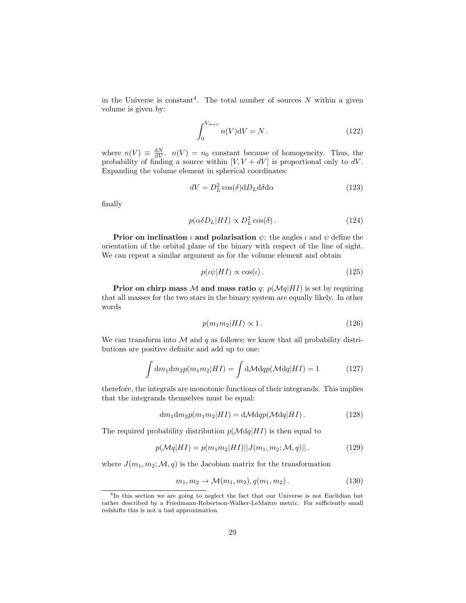in the Universe is constant<sup>4</sup>. The total number of sources  $N$  within a given volume is given by:

$$
\int_0^{V_{max}} n(V)dV = N.
$$
\n(122)

where  $n(V) \equiv \frac{dN}{dV}$ .  $n(V) = n_0$  constant because of homogeneity. Thus, the probability of finding a source within  $[V, V + dV]$  is proportional only to dV. Expanding the volume element in spherical coordinates:

$$
dV = D_L^2 \cos(\delta) dD_L d\delta d\alpha \qquad (123)
$$

finally

$$
p(\alpha \delta D_L | HI) \propto D_L^2 \cos(\delta). \tag{124}
$$

**Prior on inclination**  $\iota$  and polarisation  $\psi$ : the angles  $\iota$  and  $\psi$  define the orientation of the orbital plane of the binary with respect of the line of sight. We can repeat a similar argument as for the volume element and obtain

$$
p(\iota\psi|HI) \propto \cos(\iota). \tag{125}
$$

**Prior on chirp mass M and mass ratio** q:  $p(Mq|HI)$  is set by requiring that all masses for the two stars in the binary system are equally likely. In other words

$$
p(m_1 m_2|HI) \propto 1. \tag{126}
$$

We can transform into  $\mathcal M$  and  $q$  as follows; we know that all probability distributions are positive definite and add up to one:

$$
\int dm_1 dm_2 p(m_1 m_2 | HI) = \int d\mathcal{M} dq p(\mathcal{M} dq | HI) = 1 \tag{127}
$$

therefore, the integrals are monotonic functions of their integrands. This implies that the integrands themselves must be equal:

$$
\mathrm{d}m_1 \mathrm{d}m_2 p(m_1 m_2 | HI) = \mathrm{d} \mathcal{M} \mathrm{d}q p(\mathcal{M} \mathrm{d}q | HI).
$$
 (128)

The required probability distribution  $p(\mathcal{M}dq|HI)$  is then equal to

$$
p(\mathcal{M}q|HI) = p(m_1m_2|HI)||J(m_1, m_2; \mathcal{M}, q)||. \tag{129}
$$

where  $J(m_1, m_2; \mathcal{M}, q)$  is the Jacobian matrix for the transformation

$$
m_1, m_2 \to \mathcal{M}(m_1, m_2), q(m_1, m_2). \tag{130}
$$

<sup>&</sup>lt;sup>4</sup>In this section we are going to neglect the fact that our Universe is not Euclidian but rather described by a Friedmann-Robertson-Walker-LeMaitre metric. For sufficiently small redshifts this is not a bad approximation.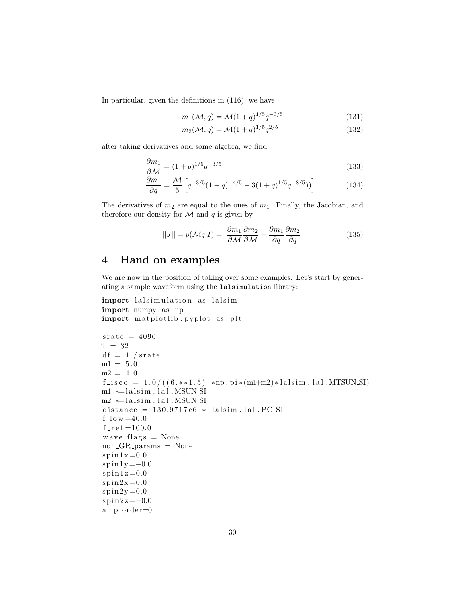In particular, given the definitions in (116), we have

$$
m_1(\mathcal{M}, q) = \mathcal{M}(1+q)^{1/5} q^{-3/5}
$$
\n(131)

$$
m_2(\mathcal{M}, q) = \mathcal{M}(1+q)^{1/5} q^{2/5}
$$
\n(132)

after taking derivatives and some algebra, we find:

$$
\frac{\partial m_1}{\partial \mathcal{M}} = (1+q)^{1/5} q^{-3/5} \tag{133}
$$

$$
\frac{\partial m_1}{\partial q} = \frac{\mathcal{M}}{5} \left[ q^{-3/5} (1+q)^{-4/5} - 3(1+q)^{1/5} q^{-8/5}) \right]. \tag{134}
$$

The derivatives of  $m_2$  are equal to the ones of  $m_1$ . Finally, the Jacobian, and therefore our density for  $M$  and  $q$  is given by

$$
||J|| = p(\mathcal{M}q|I) = |\frac{\partial m_1}{\partial \mathcal{M}} \frac{\partial m_2}{\partial \mathcal{M}} - \frac{\partial m_1}{\partial q} \frac{\partial m_2}{\partial q}|
$$
(135)

### 4 Hand on examples

We are now in the position of taking over some examples. Let's start by generating a sample waveform using the lalsimulation library:

```
import lalsimulation as lalsim
import numpy as np
import matplotlib . pyplot as plt
```

```
srate = 4096T = 32df = 1./ srate
ml = 5.0m2 = 4.0f_{\texttt{-}isco} = 1.0 / ((6. * * 1.5) * np \cdot pi * (m1 + m2) * lalsim \cdot l al \cdot \text{MTSUN} \cdot \text{SI})m1 * =lalsim. lal. MSUN_SI
m2 ∗=lalsim.lal.MSUN_SI
distance = 130.9717e6 * lalsim.1al. PC.SIf_{\rm -}low =40.0f<sub>-r</sub> e f = 100.0wave_{\text{-}flags} = Nonenon_GR_-params = None
spin1x=0.0spin 1 y = -0.0spin1z=0.0spin2x=0.0spin2y=0.0spin2 z = -0.0amp{\text{-}order=0}
```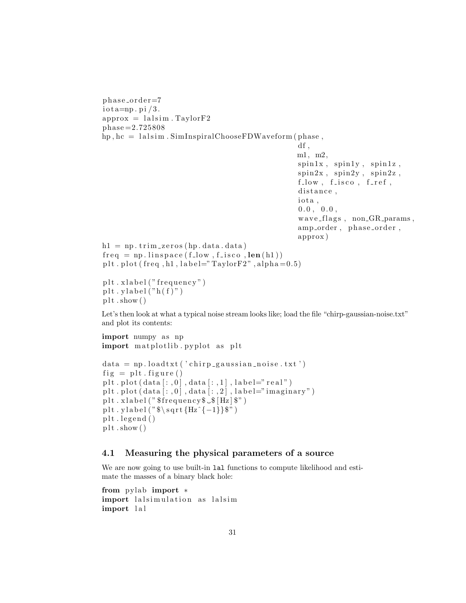```
phase-order=7i o t a=np. pi /3.
approx = lalsim. Taylor F2phase =2.725808
hp, hc = lalsim. SimIn spiralChooseFDWave form (phase,df,
                                                     m1, m2,
                                                      spin1x, spin1y, spin1z,
                                                      spin2x, spin2y, spin2z,
                                                      f_{\text{-low}}, f_{\text{-iso}}, f_{\text{-ref}},
                                                      distance,
                                                      iota,
                                                      0.0, 0.0,wave_{\text{-}flags}, non_{\text{-}GR_{\text{-}params}},
                                                      amp_order, phase_order,
                                                      approx )
h1 = np.time2eros(hp.data.data)freq = np.linalg = np \cdot linspace(f_low, f_iisco, len(h1))plt.plot (freq.h1,label="TaylorF2",alpha=0.5)
plt x \, label ("frequency")plt. ylabel("h(f)"')plt.show()
```
Let's then look at what a typical noise stream looks like; load the file "chirp-gaussian-noise.txt" and plot its contents:

```
import numpy as np
import matplotlib . pyplot as plt
data = np.loadtxt('chirp-gaussian-noise.txt')fig = plt . figure()plt.plot(data[:, 0], data[:, 1], label="real")plt. plot (data[:, 0], data[:, 2], label="imaginary")plt.xlabel ("$frequency$ \_$\_$\_$\[Hz]\ ")
plt . y label ("\sqrt{s} \sqrt{\sqrt{s} t} {Hz^{-1}}\")
plt. legend()plt.show()
```
#### 4.1 Measuring the physical parameters of a source

We are now going to use built-in lal functions to compute likelihood and estimate the masses of a binary black hole:

```
from pylab import ∗
import lalsimulation as lalsim
import lal
```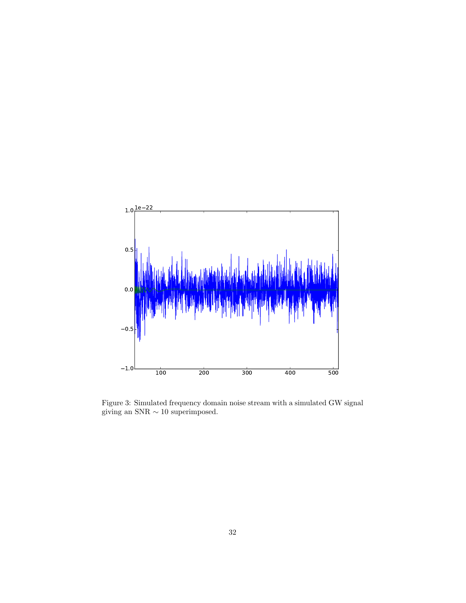

Figure 3: Simulated frequency domain noise stream with a simulated GW signal giving an SNR  $\sim 10$  superimposed.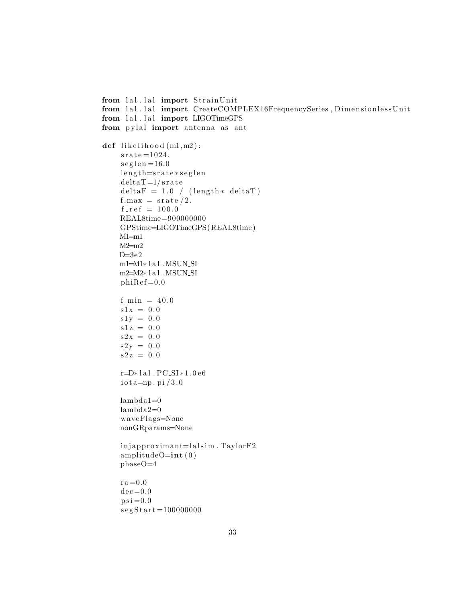```
from lal. lal import StrainUnit
from lal.lal import CreateCOMPLEX16FrequencySeries, DimensionlessUnit
from lal.lal import LIGOTimeGPS
from pylal import antenna as ant
def likelihood (m1,m2):
    sr a t e =1024.
    seglen =16.0
    length=srate*seglen
    delta T=1/srate
    delta F = 1.0 / (length* delta T)f_{\text{max}} = \text{state}/2.f_{-}r ef = 100.0REAL8time=900000000
    GPStime=LIGOTimeGPS(REAL8time )
    M1 = m1M2 = m2D=3e2m1=M1∗ l a l \, . MSUN_SI
    m2=M2∗lal.MSUN_SI
    phiRef = 0.0f_{\text{min}} = 40.0s1x = 0.0s1y = 0.0s1z = 0.0s2x = 0.0s2y = 0.0s2z = 0.0r=D∗ l a l . PC SI ∗1. 0 e6
    io t a=np. pi /3.0lambda1=0
    lambda2=0
    waveFlags=None
    nonGRparams=None
    inja <i>pproximant</i> = <math>lalsim</math>. TaylorF2amplitudeO=int(0)phaseO=4
    ra = 0.0dec = 0.0p si = 0.0segStart = 100000000
```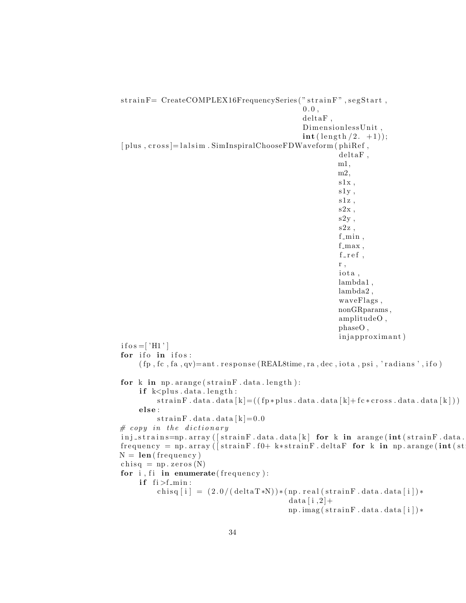strainF= CreateCOMPLEX16FrequencySeries ("strainF", segStart,  $0.0,$  $delta F$ , DimensionlessUnit,  $\text{int}(\text{length}/2. +1));$  $[$  plus,  $\csc s$  = lalsim. SimInspiralChooseFDWaveform (phiRef,  $delta F$ , m1, m2,  $s1x$ ,  $s1y$ , s1z ,  $s2x$ ,  $s2y$ , s2z ,  $f_{\text{min}}$ ,  $f$ <sub>-max</sub>,  $f$ <sub>ref</sub>, r , iota, lambda1 , lambda2 , waveFlags , nonGRparams , amplitudeO , phaseO , injapproximant) i f o s = [ $'$ H1'] for ifo in ifos:  $(\text{fp}, \text{fc}, \text{fa}, \text{qv}) = \text{ant} \cdot \text{response}$  (REAL8time, ra, dec, iota, psi, 'radians', if o) for  $k$  in np. arange ( $strainF$ . data. length): if  $k$  < plus . data . length : strainF.data.data  $[k] = ((fp * plus.data data data[k] + fc * cross.data data data[k]))$ else:  $strain F. data. data [k]=0.0$  $# \ copy \ in \ the \ dictionary$  $\text{inj}_\text{strains}$ =np. array ([strainF.data.data[k] for k in arange(int(strainF.data.  $frequency = np.array ( [strain F. f0+ k*strain F. delta F for k in np.arange(int (st$  $N = len(frequency)$  $chisq = np \cdot zeros(N)$ for  $i$ ,  $fi$  in enumerate (frequency): if  $f_i > f_{min}$ : chisq  $[i] = (2.0/(\text{deltaT} * N)) * (np.read(\text{strainF}.data.data[i]) *$ data  $[i, 2]+$ np.imag(strainF.data.data[i])\*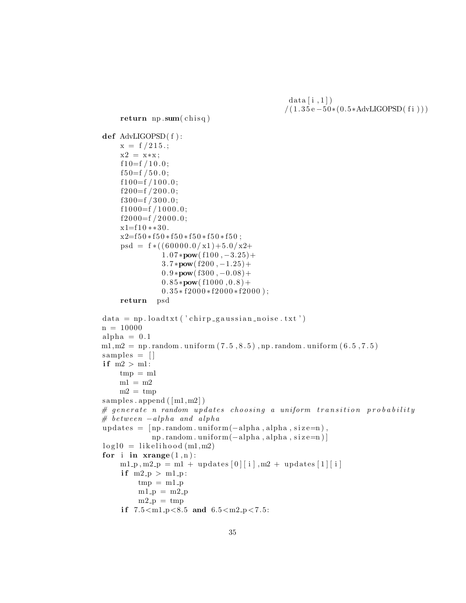$data[i,1])$  $/(1.35 e - 50*(0.5*AdvLIGOPSD(fi)))$ 

```
return np.sum( <i>chisq</i>)def AdvLIGOPSD( f ) :
    x = f / 215.;
    x2 = x*x;
    f10=f/10.0;f50=f/50.0;f100=f/100.0;f200=f/200.0;f300=f/300.0;f1000=f/1000.0;f2000=f/2000.0;x1=f10**30.x2=f50 *f50 *f50 *f50 *f50 *f50;
    psd = f * ((60000.0 / x1) + 5.0 / x2 +1.07*pow(f100, -3.25)+3.7 * pow(f200, -1.25) +0.9 * \text{pow}(1300, -0.08) +0.85*<b>pow</b>(f1000, 0.8) +0.35 * f2000 * f2000 * f2000;
    return psd
data = np.loadtxt('chirp-gaussian-noise.txt')n = 10000alpha = 0.1m1, m2 = np.random. uniform (7.5, 8.5), np. random. uniform (6.5, 7.5)samples = []if m2 > m1:
    tmp = m1ml = m2m2 = \text{tmp}samples a append ([m1,m2])\# generate n random updates choosing a uniform transition probability
# between -alpha and alpha
updates = [np.random.uniform(-alpha, alpha, size=n)],
            np . random . uniform (−alpha, alpha, size=n)]
log 10 = likelihood (m1, m2)for i in \mathbf{x} range (1, n):
    m1-p, m2-p = m1 + up dates [0][i], m2 + up dates [1][i]if m2_p > m1_p:
         tmp = m1_pm1-p = m2-pm2-p = tmpif 7.5 < m1.p < 8.5 and 6.5 < m2.p < 7.5:
```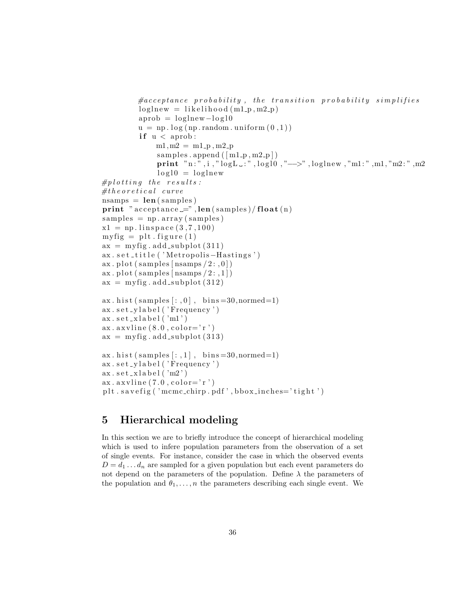```
\# acceptance\ probability\ ,\ the\ transition\ probability\ simplifiesloglnew = likelihood (m1-p, m2-p)aprob = loglnew - log10u = np \cdot log(np.random.minform(0,1))if u < a prob:
              m1, m2 = m1-p, m2-p
              samples . append (\lceil m1-p, m2-p \rceil)print "n:",i,"logL .:",logl0,"-->",loglnew,"m1:",m1,"m2:",m2
              log 10 = loglnew
#p lotting the results:
\# theoretical curvensamps = len(samples)print "acceptance =", len (samples) / float(n)samples = np.array(samples)x1 = np. linspace (3, 7, 100)myfig = plt~figure(1)ax = myfig.add.subplot(311)ax . s e t _ t i t l e ( ' M e t r o polis – H as tings ')
ax. plot (samples [nsamps /2: ,0])
ax. plot (samples [nsamps (2:,1] )
ax = myfig.add-subplot(312)ax. hist (samples [:,0], bins=30,normed=1)
ax.set_ylabel('Frequency')
ax.set_xlabel('m1')ax \cdot ax \cdot \text{line}(8.0, \text{color} = 'r')ax = myfig.add-subplot(313)ax. hist (\text{samples}[:, 1], \text{bins} = 30, \text{normal} = 1)ax.set_ylabel('Frequency')
ax.set_xlabel('m2')ax. ax vline (7.0, \text{color} = 'r')plt.savefig ('mcmc_chirp.pdf',bbox_inches='tight')
```
## 5 Hierarchical modeling

In this section we are to briefly introduce the concept of hierarchical modeling which is used to infere population parameters from the observation of a set of single events. For instance, consider the case in which the observed events  $D = d_1 \dots d_n$  are sampled for a given population but each event parameters do not depend on the parameters of the population. Define  $\lambda$  the parameters of the population and  $\theta_1, \ldots, n$  the parameters describing each single event. We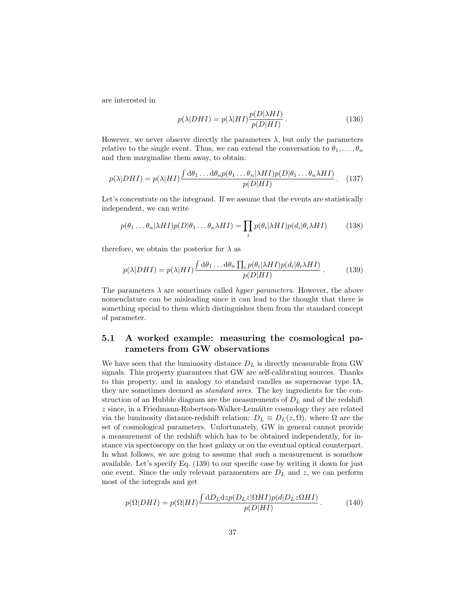are interested in

$$
p(\lambda|DHI) = p(\lambda|HI) \frac{p(D|\lambda HI)}{p(D|HI)}.
$$
\n(136)

However, we never observe directly the parameters  $\lambda$ , but only the parameters relative to the single event. Thus, we can extend the conversation to  $\theta_1, \ldots, \theta_n$ and then marginalise them away, to obtain:

$$
p(\lambda|DHI) = p(\lambda|HI) \frac{\int d\theta_1 \dots d\theta_n p(\theta_1 \dots \theta_n|\lambda HI) p(D|\theta_1 \dots \theta_n \lambda HI)}{p(D|HI)}.
$$
 (137)

Let's concentrate on the integrand. If we assume that the events are statistically independent, we can write

$$
p(\theta_1 \dots \theta_n | \lambda H I) p(D | \theta_1 \dots \theta_n \lambda H I) = \prod_i p(\theta_i | \lambda H I) p(d_i | \theta_i \lambda H I) \tag{138}
$$

therefore, we obtain the posterior for  $\lambda$  as

$$
p(\lambda|DHI) = p(\lambda|HI) \frac{\int d\theta_1 \dots d\theta_n \prod_i p(\theta_i|\lambda HI) p(d_i|\theta_i \lambda HI)}{p(D|HI)}.
$$
 (139)

The parameters  $\lambda$  are sometimes called *hyper parameters*. However, the above nomenclature can be misleading since it can lead to the thought that there is something special to them which distinguishes them from the standard concept of parameter.

#### 5.1 A worked example: measuring the cosmological parameters from GW observations

We have seen that the luminosity distance  $D_L$  is directly measurable from GW signals. This property guarantees that GW are self-calibrating sources. Thanks to this property, and in analogy to standard candles as supernovae type IA, they are sometimes deemed as standard sires. The key ingredients for the construction of an Hubble diagram are the measurements of  $D<sub>L</sub>$  and of the redshift  $z$  since, in a Friedmann-Robertson-Walker-Lemáitre cosmology they are related via the luminosity distance-redshift relation:  $D_L \equiv D_L(z, \Omega)$ , where  $\Omega$  are the set of cosmological parameters. Unfortunately, GW in general cannot provide a measurement of the redshift which has to be obtained independently, for instance via spectoscopy on the host galaxy or on the eventual optical counterpart. In what follows, we are going to assume that such a measurement is somehow available. Let's specify Eq. (139) to our specific case by writing it down for just one event. Since the only relevant paramenters are  $D<sub>L</sub>$  and z, we can perform most of the integrals and get

$$
p(\Omega|DHI) = p(\Omega|HI) \frac{\int dD_L dz p(D_L z|\Omega HI) p(d|D_L z|\Omega HI)}{p(D|HI)}.
$$
 (140)